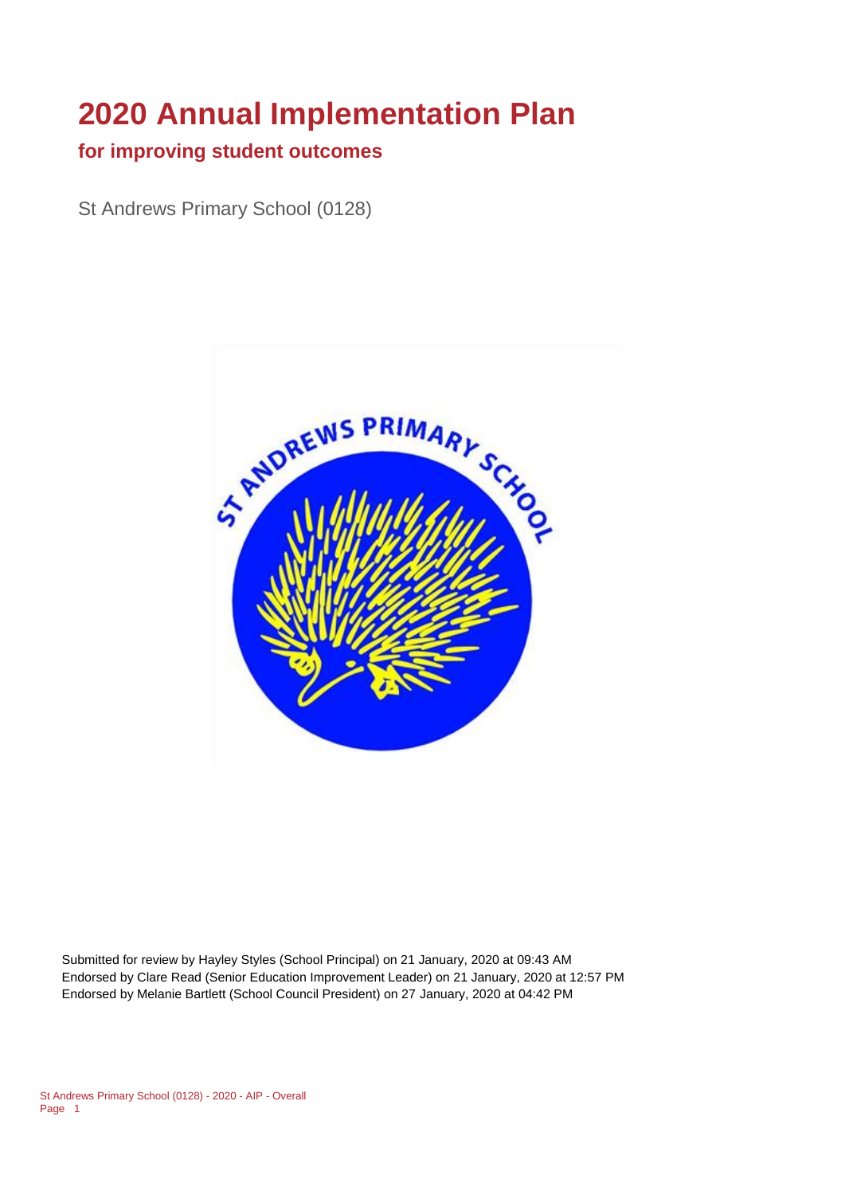# **2020 Annual Implementation Plan**

#### **for improving student outcomes**

St Andrews Primary School (0128)



Submitted for review by Hayley Styles (School Principal) on 21 January, 2020 at 09:43 AM Endorsed by Clare Read (Senior Education Improvement Leader) on 21 January, 2020 at 12:57 PM Endorsed by Melanie Bartlett (School Council President) on 27 January, 2020 at 04:42 PM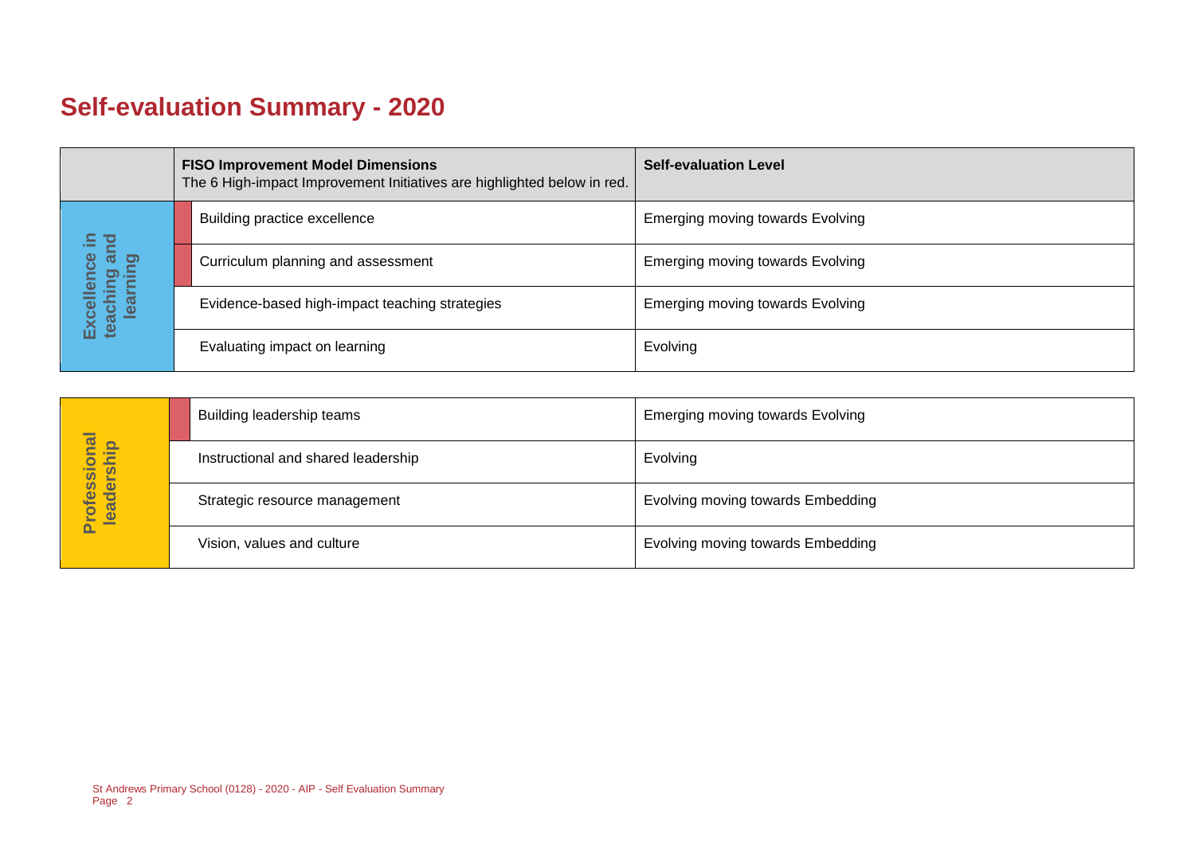# **Self-evaluation Summary - 2020**

| <b>FISO Improvement Model Dimensions</b><br>The 6 High-impact Improvement Initiatives are highlighted below in red. |                                     |  | <b>Self-evaluation Level</b>                   |                                         |
|---------------------------------------------------------------------------------------------------------------------|-------------------------------------|--|------------------------------------------------|-----------------------------------------|
|                                                                                                                     | 드                                   |  | Building practice excellence                   | <b>Emerging moving towards Evolving</b> |
|                                                                                                                     | ౚఀ<br>ence<br>aching ar<br>learning |  | Curriculum planning and assessment             | <b>Emerging moving towards Evolving</b> |
|                                                                                                                     | Excell<br>teachi                    |  | Evidence-based high-impact teaching strategies | Emerging moving towards Evolving        |
|                                                                                                                     |                                     |  | Evaluating impact on learning                  | Evolving                                |

|                            | Building leadership teams           | <b>Emerging moving towards Evolving</b> |
|----------------------------|-------------------------------------|-----------------------------------------|
|                            | Instructional and shared leadership | Evolving                                |
| Professional<br>leadership | Strategic resource management       | Evolving moving towards Embedding       |
|                            | Vision, values and culture          | Evolving moving towards Embedding       |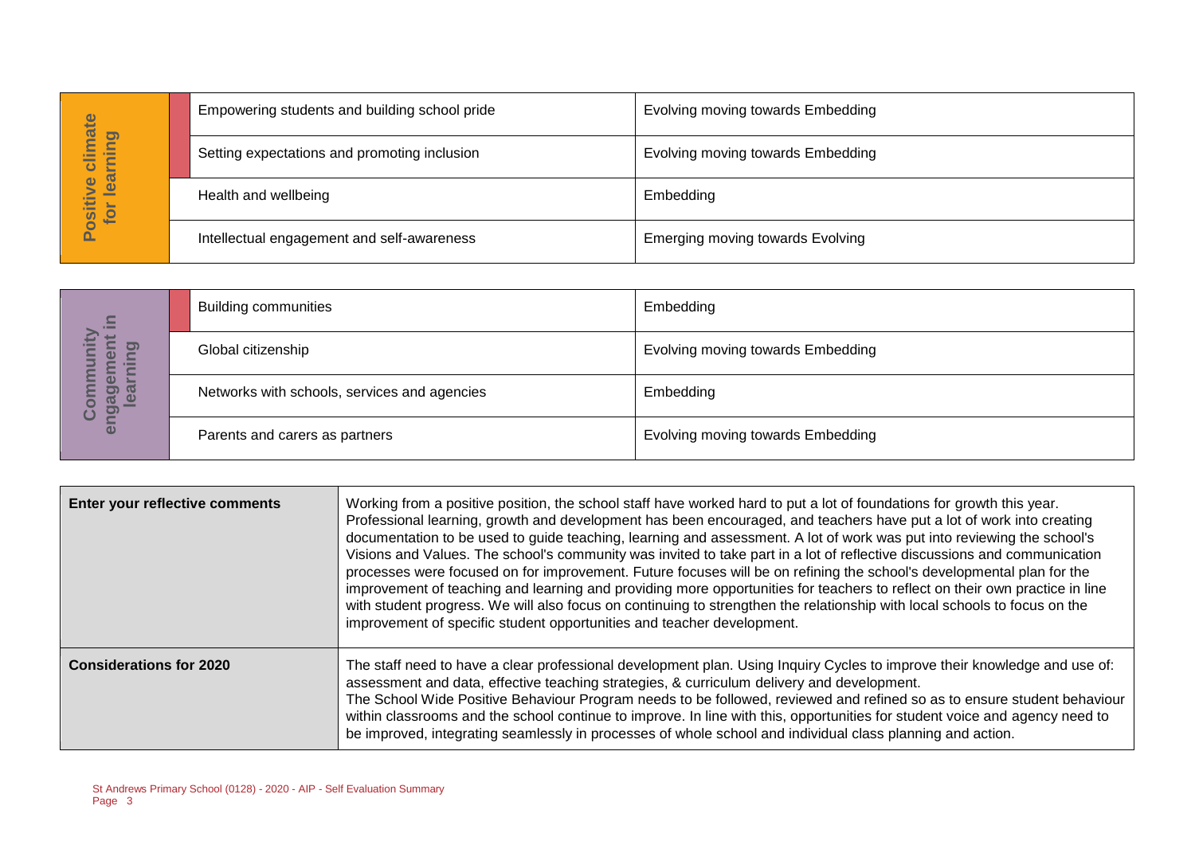| Empowering students and building school pride | Evolving moving towards Embedding       |
|-----------------------------------------------|-----------------------------------------|
| Setting expectations and promoting inclusion  | Evolving moving towards Embedding       |
| Health and wellbeing                          | Embedding                               |
| Intellectual engagement and self-awareness    | <b>Emerging moving towards Evolving</b> |
|                                               |                                         |

| $\equiv$                                | <b>Building communities</b>                  | Embedding                         |
|-----------------------------------------|----------------------------------------------|-----------------------------------|
| 0<br>$\boldsymbol{\omega}$<br><b>E</b>  | Global citizenship                           | Evolving moving towards Embedding |
| ō<br><b>GO</b><br>o)]<br><u>ര</u><br>ပိ | Networks with schools, services and agencies | Embedding                         |
| eng                                     | Parents and carers as partners               | Evolving moving towards Embedding |

|                                        |                                                                         | Empowering students and building scribble pride                        | EVOIVING MOVING towards Embedding                                                                                                                                                                                                                                                                                                                                                                                                                                                                                                                                                                                                                                                                                                                                                                                                                                                        |
|----------------------------------------|-------------------------------------------------------------------------|------------------------------------------------------------------------|------------------------------------------------------------------------------------------------------------------------------------------------------------------------------------------------------------------------------------------------------------------------------------------------------------------------------------------------------------------------------------------------------------------------------------------------------------------------------------------------------------------------------------------------------------------------------------------------------------------------------------------------------------------------------------------------------------------------------------------------------------------------------------------------------------------------------------------------------------------------------------------|
| Positive climate<br>for learning       |                                                                         | Setting expectations and promoting inclusion                           | Evolving moving towards Embedding                                                                                                                                                                                                                                                                                                                                                                                                                                                                                                                                                                                                                                                                                                                                                                                                                                                        |
|                                        | Health and wellbeing                                                    |                                                                        | Embedding                                                                                                                                                                                                                                                                                                                                                                                                                                                                                                                                                                                                                                                                                                                                                                                                                                                                                |
|                                        |                                                                         | Intellectual engagement and self-awareness                             | <b>Emerging moving towards Evolving</b>                                                                                                                                                                                                                                                                                                                                                                                                                                                                                                                                                                                                                                                                                                                                                                                                                                                  |
|                                        |                                                                         |                                                                        |                                                                                                                                                                                                                                                                                                                                                                                                                                                                                                                                                                                                                                                                                                                                                                                                                                                                                          |
|                                        | <b>Building communities</b>                                             |                                                                        | Embedding                                                                                                                                                                                                                                                                                                                                                                                                                                                                                                                                                                                                                                                                                                                                                                                                                                                                                |
| engagement in<br>learning<br>Community | Global citizenship                                                      |                                                                        | Evolving moving towards Embedding                                                                                                                                                                                                                                                                                                                                                                                                                                                                                                                                                                                                                                                                                                                                                                                                                                                        |
|                                        | Networks with schools, services and agencies                            |                                                                        | Embedding                                                                                                                                                                                                                                                                                                                                                                                                                                                                                                                                                                                                                                                                                                                                                                                                                                                                                |
|                                        | Parents and carers as partners                                          |                                                                        | Evolving moving towards Embedding                                                                                                                                                                                                                                                                                                                                                                                                                                                                                                                                                                                                                                                                                                                                                                                                                                                        |
|                                        |                                                                         |                                                                        |                                                                                                                                                                                                                                                                                                                                                                                                                                                                                                                                                                                                                                                                                                                                                                                                                                                                                          |
| Enter your reflective comments         |                                                                         | improvement of specific student opportunities and teacher development. | Working from a positive position, the school staff have worked hard to put a lot of foundations for growth this year.<br>Professional learning, growth and development has been encouraged, and teachers have put a lot of work into creating<br>documentation to be used to guide teaching, learning and assessment. A lot of work was put into reviewing the school's<br>Visions and Values. The school's community was invited to take part in a lot of reflective discussions and communication<br>processes were focused on for improvement. Future focuses will be on refining the school's developmental plan for the<br>improvement of teaching and learning and providing more opportunities for teachers to reflect on their own practice in line<br>with student progress. We will also focus on continuing to strengthen the relationship with local schools to focus on the |
| <b>Considerations for 2020</b>         |                                                                         |                                                                        | The staff need to have a clear professional development plan. Using Inquiry Cycles to improve their knowledge and use of:<br>assessment and data, effective teaching strategies, & curriculum delivery and development.<br>The School Wide Positive Behaviour Program needs to be followed, reviewed and refined so as to ensure student behaviour<br>within classrooms and the school continue to improve. In line with this, opportunities for student voice and agency need to<br>be improved, integrating seamlessly in processes of whole school and individual class planning and action.                                                                                                                                                                                                                                                                                          |
| Page 3                                 | St Andrews Primary School (0128) - 2020 - AIP - Self Evaluation Summary |                                                                        |                                                                                                                                                                                                                                                                                                                                                                                                                                                                                                                                                                                                                                                                                                                                                                                                                                                                                          |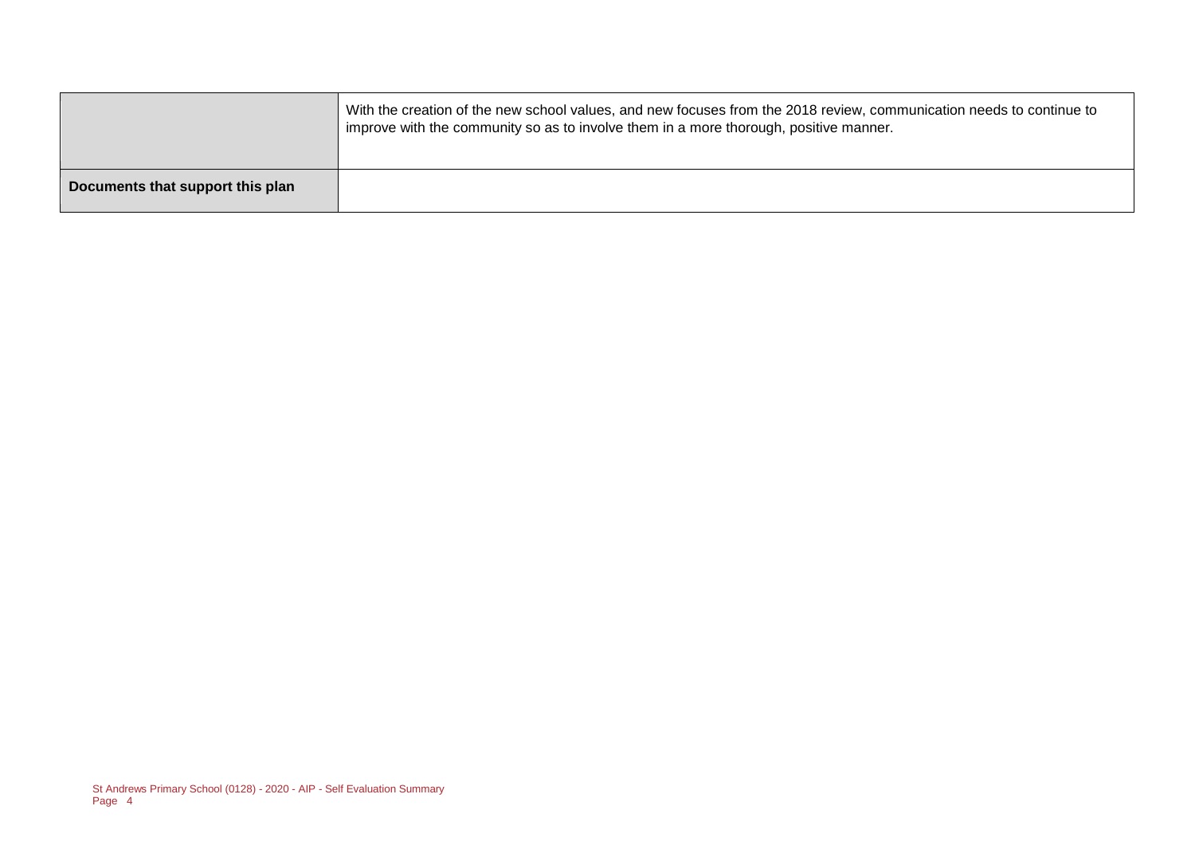With the creation of the new school values, and new focuses from the 2018 review, communication needs to continue to improve with the community so as to involve them in a more thorough, positive manner.

**Documents that support this plan**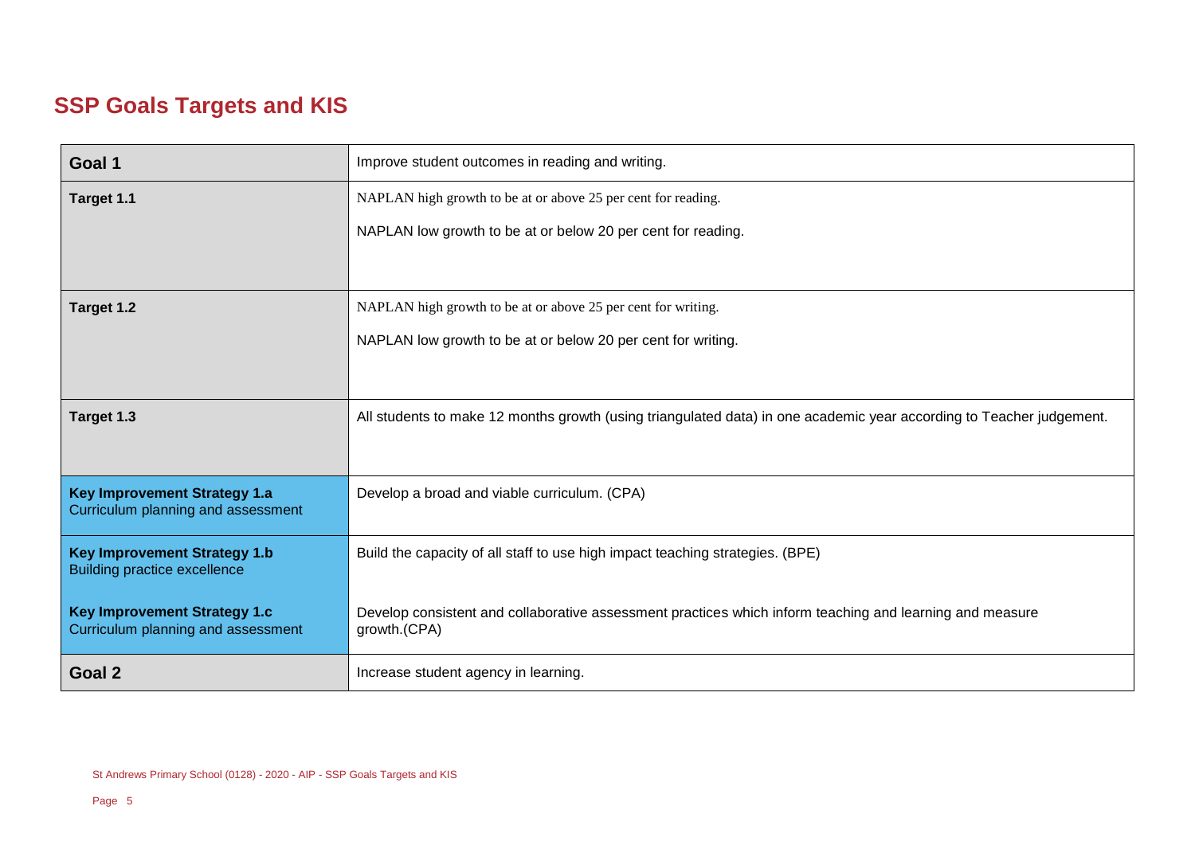# **SSP Goals Targets and KIS**

| Goal 1                                                                     | Improve student outcomes in reading and writing.                                                                         |
|----------------------------------------------------------------------------|--------------------------------------------------------------------------------------------------------------------------|
| Target 1.1                                                                 | NAPLAN high growth to be at or above 25 per cent for reading.                                                            |
|                                                                            | NAPLAN low growth to be at or below 20 per cent for reading.                                                             |
|                                                                            |                                                                                                                          |
| Target 1.2                                                                 | NAPLAN high growth to be at or above 25 per cent for writing.                                                            |
|                                                                            | NAPLAN low growth to be at or below 20 per cent for writing.                                                             |
|                                                                            |                                                                                                                          |
| Target 1.3                                                                 | All students to make 12 months growth (using triangulated data) in one academic year according to Teacher judgement.     |
|                                                                            |                                                                                                                          |
| <b>Key Improvement Strategy 1.a</b><br>Curriculum planning and assessment  | Develop a broad and viable curriculum. (CPA)                                                                             |
| <b>Key Improvement Strategy 1.b</b><br><b>Building practice excellence</b> | Build the capacity of all staff to use high impact teaching strategies. (BPE)                                            |
| <b>Key Improvement Strategy 1.c</b><br>Curriculum planning and assessment  | Develop consistent and collaborative assessment practices which inform teaching and learning and measure<br>growth.(CPA) |
| Goal 2                                                                     | Increase student agency in learning.                                                                                     |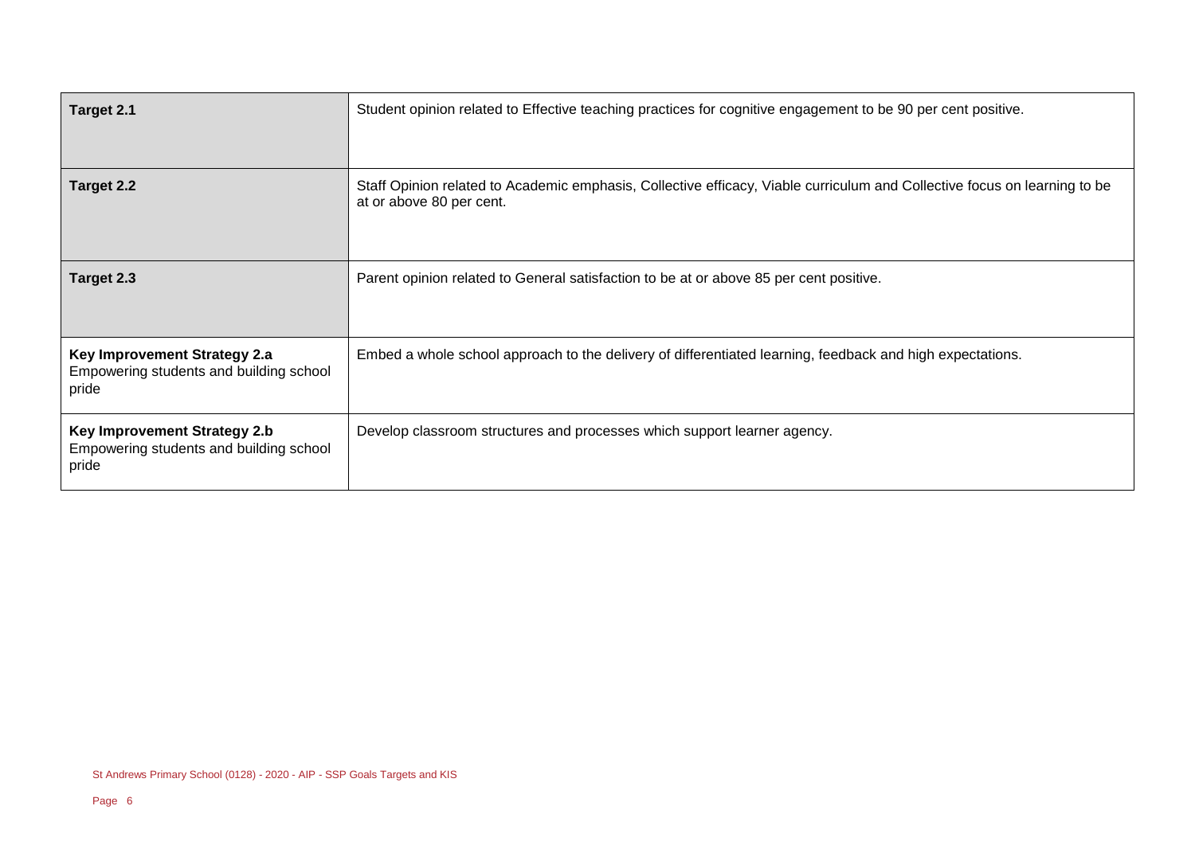| Target 2.1                                                                       | Student opinion related to Effective teaching practices for cognitive engagement to be 90 per cent positive.                                          |
|----------------------------------------------------------------------------------|-------------------------------------------------------------------------------------------------------------------------------------------------------|
| Target 2.2                                                                       | Staff Opinion related to Academic emphasis, Collective efficacy, Viable curriculum and Collective focus on learning to be<br>at or above 80 per cent. |
| Target 2.3                                                                       | Parent opinion related to General satisfaction to be at or above 85 per cent positive.                                                                |
| Key Improvement Strategy 2.a<br>Empowering students and building school<br>pride | Embed a whole school approach to the delivery of differentiated learning, feedback and high expectations.                                             |
| Key Improvement Strategy 2.b<br>Empowering students and building school<br>pride | Develop classroom structures and processes which support learner agency.                                                                              |

 $\mathbf{r}$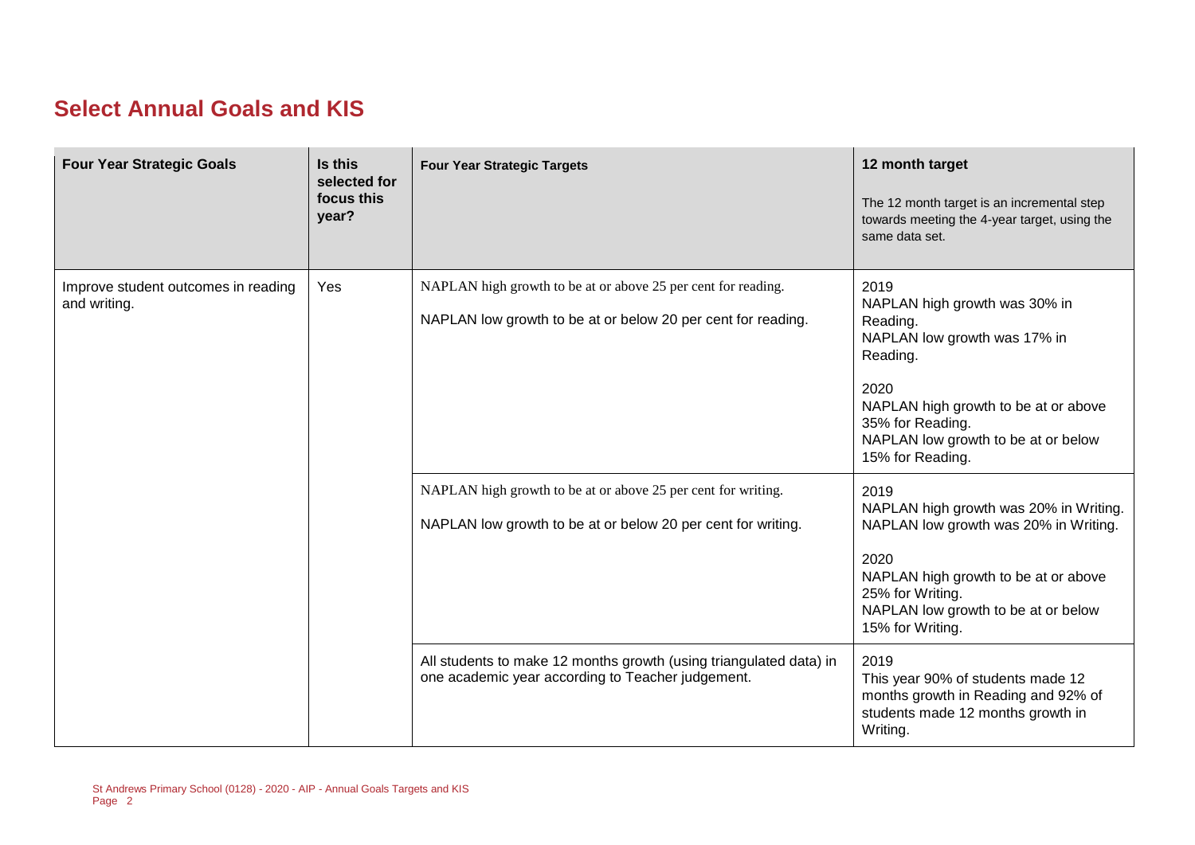## **Select Annual Goals and KIS**

| <b>Four Year Strategic Goals</b>                    | Is this<br>selected for<br>focus this<br>year? | <b>Four Year Strategic Targets</b>                                                                                            | 12 month target<br>The 12 month target is an incremental step<br>towards meeting the 4-year target, using the<br>same data set.                                                                                              |
|-----------------------------------------------------|------------------------------------------------|-------------------------------------------------------------------------------------------------------------------------------|------------------------------------------------------------------------------------------------------------------------------------------------------------------------------------------------------------------------------|
| Improve student outcomes in reading<br>and writing. | Yes                                            | NAPLAN high growth to be at or above 25 per cent for reading.<br>NAPLAN low growth to be at or below 20 per cent for reading. | 2019<br>NAPLAN high growth was 30% in<br>Reading.<br>NAPLAN low growth was 17% in<br>Reading.<br>2020<br>NAPLAN high growth to be at or above<br>35% for Reading.<br>NAPLAN low growth to be at or below<br>15% for Reading. |
|                                                     |                                                | NAPLAN high growth to be at or above 25 per cent for writing.<br>NAPLAN low growth to be at or below 20 per cent for writing. | 2019<br>NAPLAN high growth was 20% in Writing.<br>NAPLAN low growth was 20% in Writing.<br>2020<br>NAPLAN high growth to be at or above<br>25% for Writing.<br>NAPLAN low growth to be at or below<br>15% for Writing.       |
|                                                     |                                                | All students to make 12 months growth (using triangulated data) in<br>one academic year according to Teacher judgement.       | 2019<br>This year 90% of students made 12<br>months growth in Reading and 92% of<br>students made 12 months growth in<br>Writing.                                                                                            |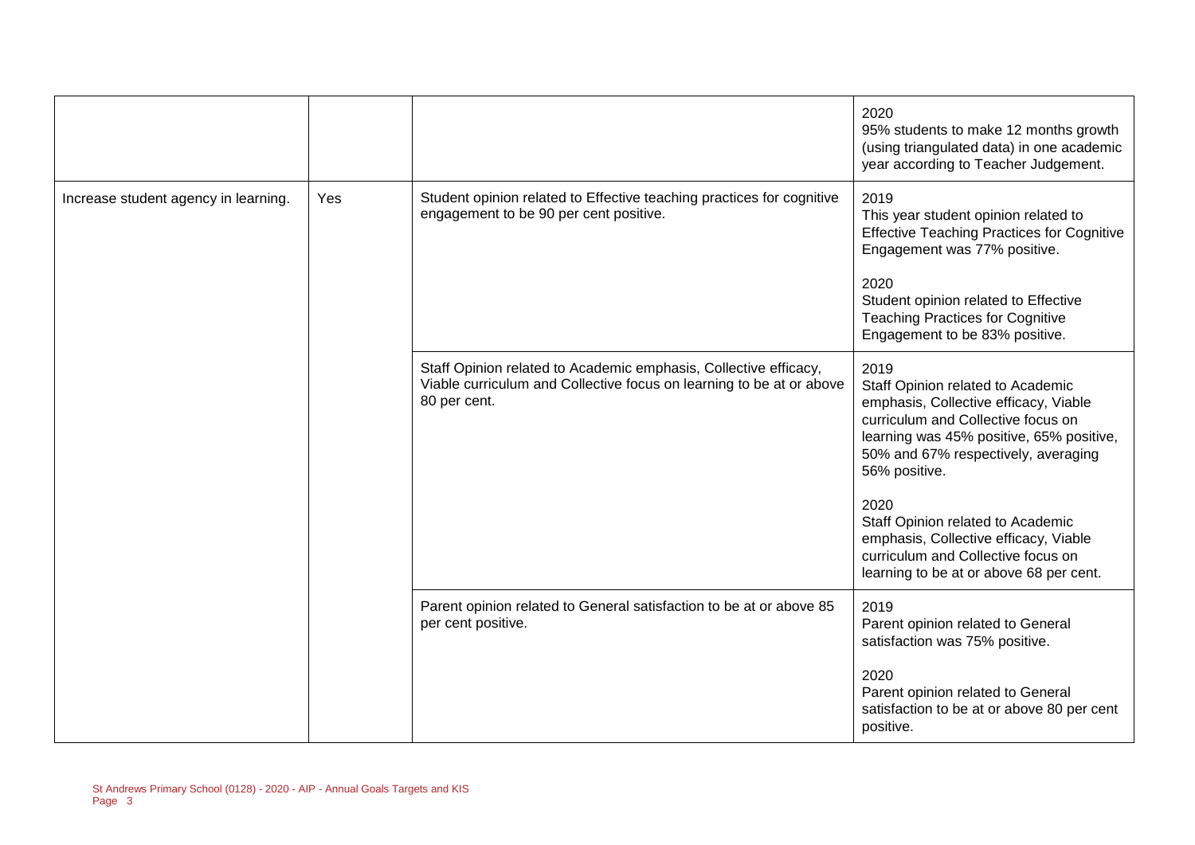|                                      |     |                                                                                                                                                          | 2020<br>95% students to make 12 months growth<br>(using triangulated data) in one academic<br>year according to Teacher Judgement.                                                                                                                                                                                                                                                                  |
|--------------------------------------|-----|----------------------------------------------------------------------------------------------------------------------------------------------------------|-----------------------------------------------------------------------------------------------------------------------------------------------------------------------------------------------------------------------------------------------------------------------------------------------------------------------------------------------------------------------------------------------------|
| Increase student agency in learning. | Yes | Student opinion related to Effective teaching practices for cognitive<br>engagement to be 90 per cent positive.                                          | 2019<br>This year student opinion related to<br><b>Effective Teaching Practices for Cognitive</b><br>Engagement was 77% positive.<br>2020<br>Student opinion related to Effective<br><b>Teaching Practices for Cognitive</b><br>Engagement to be 83% positive.                                                                                                                                      |
|                                      |     | Staff Opinion related to Academic emphasis, Collective efficacy,<br>Viable curriculum and Collective focus on learning to be at or above<br>80 per cent. | 2019<br>Staff Opinion related to Academic<br>emphasis, Collective efficacy, Viable<br>curriculum and Collective focus on<br>learning was 45% positive, 65% positive,<br>50% and 67% respectively, averaging<br>56% positive.<br>2020<br>Staff Opinion related to Academic<br>emphasis, Collective efficacy, Viable<br>curriculum and Collective focus on<br>learning to be at or above 68 per cent. |
|                                      |     | Parent opinion related to General satisfaction to be at or above 85<br>per cent positive.                                                                | 2019<br>Parent opinion related to General<br>satisfaction was 75% positive.<br>2020<br>Parent opinion related to General<br>satisfaction to be at or above 80 per cent<br>positive.                                                                                                                                                                                                                 |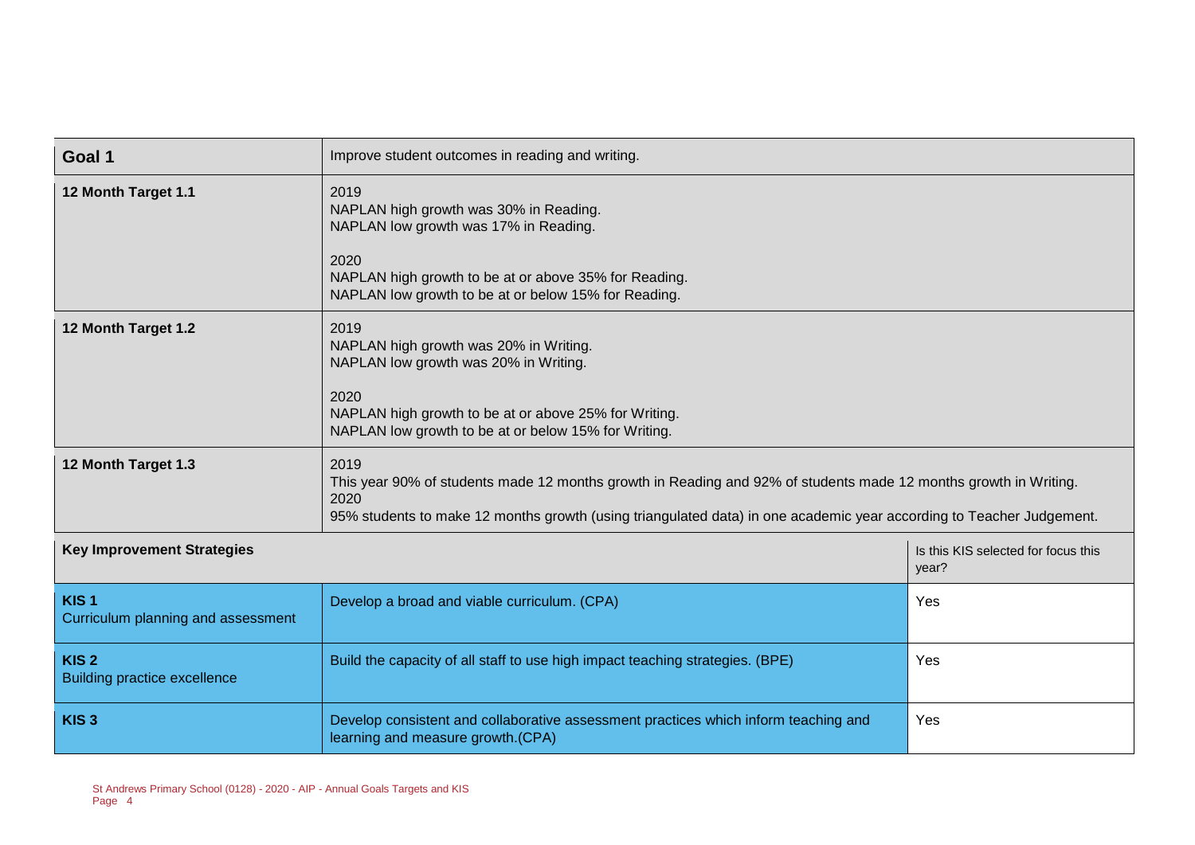| Goal 1                                                  | Improve student outcomes in reading and writing.                                                                                                                                                                                                         |                                              |  |
|---------------------------------------------------------|----------------------------------------------------------------------------------------------------------------------------------------------------------------------------------------------------------------------------------------------------------|----------------------------------------------|--|
| 12 Month Target 1.1                                     | 2019<br>NAPLAN high growth was 30% in Reading.<br>NAPLAN low growth was 17% in Reading.<br>2020                                                                                                                                                          |                                              |  |
|                                                         | NAPLAN high growth to be at or above 35% for Reading.<br>NAPLAN low growth to be at or below 15% for Reading.                                                                                                                                            |                                              |  |
| 12 Month Target 1.2                                     | 2019<br>NAPLAN high growth was 20% in Writing.<br>NAPLAN low growth was 20% in Writing.                                                                                                                                                                  |                                              |  |
|                                                         |                                                                                                                                                                                                                                                          |                                              |  |
| 12 Month Target 1.3                                     | 2019<br>This year 90% of students made 12 months growth in Reading and 92% of students made 12 months growth in Writing.<br>2020<br>95% students to make 12 months growth (using triangulated data) in one academic year according to Teacher Judgement. |                                              |  |
| <b>Key Improvement Strategies</b>                       |                                                                                                                                                                                                                                                          | Is this KIS selected for focus this<br>year? |  |
| KIS <sub>1</sub><br>Curriculum planning and assessment  | Develop a broad and viable curriculum. (CPA)                                                                                                                                                                                                             | Yes                                          |  |
| KIS <sub>2</sub><br><b>Building practice excellence</b> | Build the capacity of all staff to use high impact teaching strategies. (BPE)                                                                                                                                                                            | Yes                                          |  |
| KIS <sub>3</sub>                                        | Develop consistent and collaborative assessment practices which inform teaching and<br>learning and measure growth.(CPA)                                                                                                                                 | Yes                                          |  |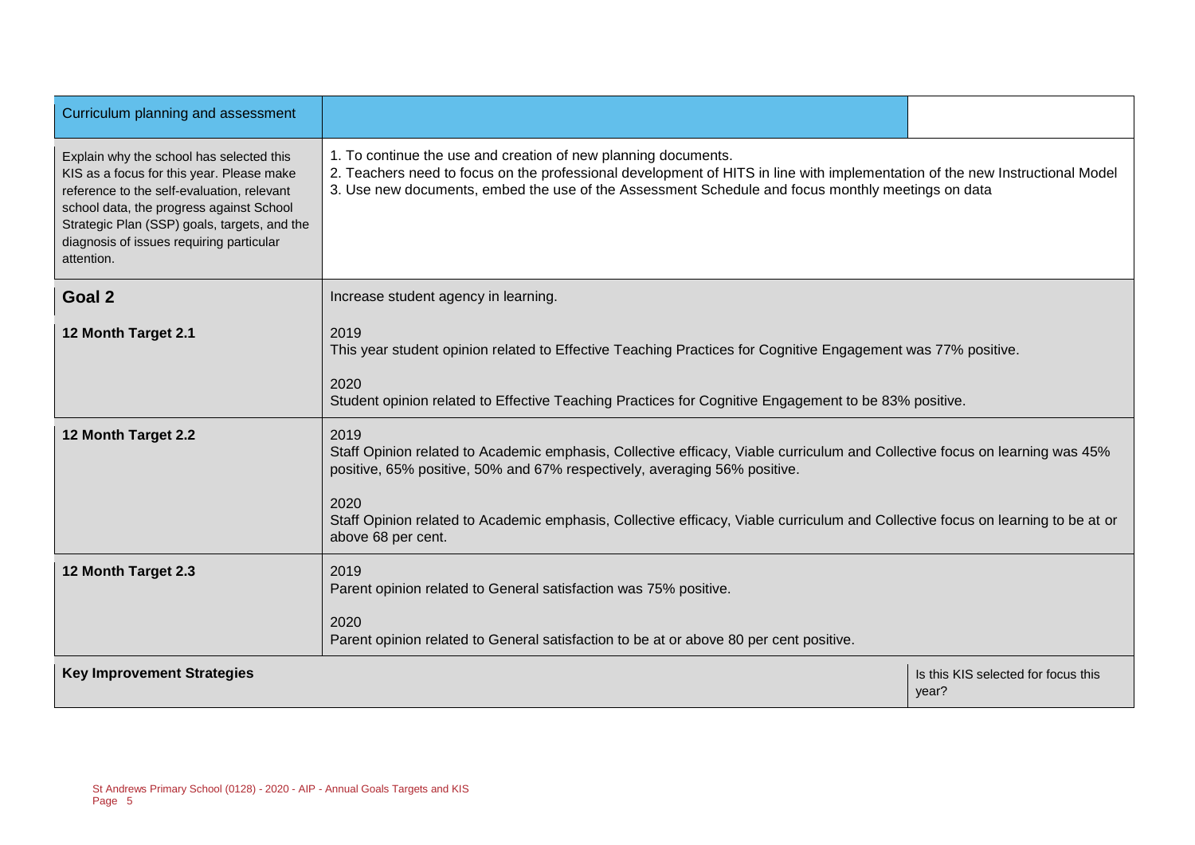| Curriculum planning and assessment                                                                                                                                                                                                                                                        |                                                                                                                                                                                                                                                                                                                                                                                   |                                              |  |
|-------------------------------------------------------------------------------------------------------------------------------------------------------------------------------------------------------------------------------------------------------------------------------------------|-----------------------------------------------------------------------------------------------------------------------------------------------------------------------------------------------------------------------------------------------------------------------------------------------------------------------------------------------------------------------------------|----------------------------------------------|--|
| Explain why the school has selected this<br>KIS as a focus for this year. Please make<br>reference to the self-evaluation, relevant<br>school data, the progress against School<br>Strategic Plan (SSP) goals, targets, and the<br>diagnosis of issues requiring particular<br>attention. | 1. To continue the use and creation of new planning documents.<br>2. Teachers need to focus on the professional development of HITS in line with implementation of the new Instructional Model<br>3. Use new documents, embed the use of the Assessment Schedule and focus monthly meetings on data                                                                               |                                              |  |
| Goal 2                                                                                                                                                                                                                                                                                    | Increase student agency in learning.                                                                                                                                                                                                                                                                                                                                              |                                              |  |
| 12 Month Target 2.1                                                                                                                                                                                                                                                                       | 2019<br>This year student opinion related to Effective Teaching Practices for Cognitive Engagement was 77% positive.<br>2020<br>Student opinion related to Effective Teaching Practices for Cognitive Engagement to be 83% positive.                                                                                                                                              |                                              |  |
| 12 Month Target 2.2                                                                                                                                                                                                                                                                       | 2019<br>Staff Opinion related to Academic emphasis, Collective efficacy, Viable curriculum and Collective focus on learning was 45%<br>positive, 65% positive, 50% and 67% respectively, averaging 56% positive.<br>2020<br>Staff Opinion related to Academic emphasis, Collective efficacy, Viable curriculum and Collective focus on learning to be at or<br>above 68 per cent. |                                              |  |
| 12 Month Target 2.3                                                                                                                                                                                                                                                                       | 2019<br>Parent opinion related to General satisfaction was 75% positive.<br>2020<br>Parent opinion related to General satisfaction to be at or above 80 per cent positive.                                                                                                                                                                                                        |                                              |  |
| <b>Key Improvement Strategies</b>                                                                                                                                                                                                                                                         |                                                                                                                                                                                                                                                                                                                                                                                   | Is this KIS selected for focus this<br>year? |  |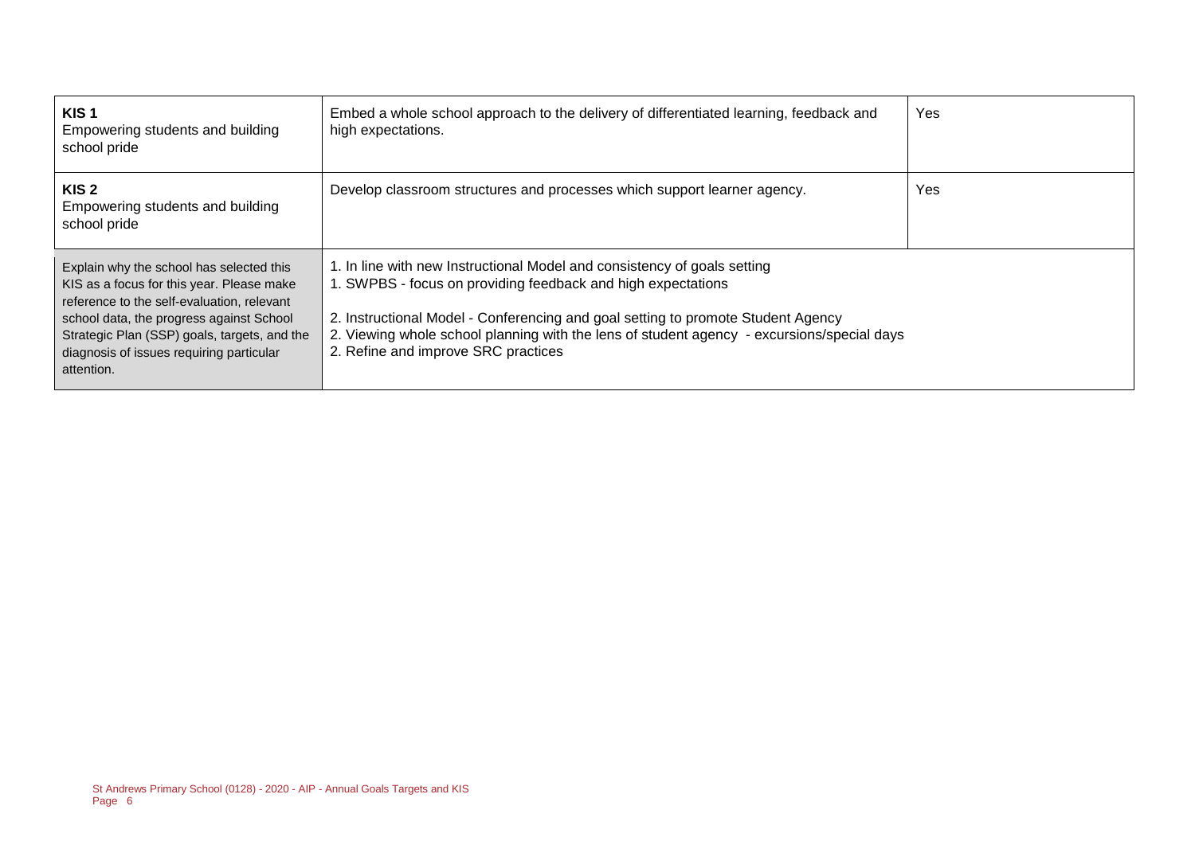| KIS <sub>1</sub><br>Empowering students and building<br>school pride                                                                                                                                                                                                                      | Embed a whole school approach to the delivery of differentiated learning, feedback and<br>high expectations.                                                                                                                                                                                                                                                      | Yes |
|-------------------------------------------------------------------------------------------------------------------------------------------------------------------------------------------------------------------------------------------------------------------------------------------|-------------------------------------------------------------------------------------------------------------------------------------------------------------------------------------------------------------------------------------------------------------------------------------------------------------------------------------------------------------------|-----|
| KIS <sub>2</sub><br>Empowering students and building<br>school pride                                                                                                                                                                                                                      | Develop classroom structures and processes which support learner agency.                                                                                                                                                                                                                                                                                          | Yes |
| Explain why the school has selected this<br>KIS as a focus for this year. Please make<br>reference to the self-evaluation, relevant<br>school data, the progress against School<br>Strategic Plan (SSP) goals, targets, and the<br>diagnosis of issues requiring particular<br>attention. | 1. In line with new Instructional Model and consistency of goals setting<br>1. SWPBS - focus on providing feedback and high expectations<br>2. Instructional Model - Conferencing and goal setting to promote Student Agency<br>2. Viewing whole school planning with the lens of student agency - excursions/special days<br>2. Refine and improve SRC practices |     |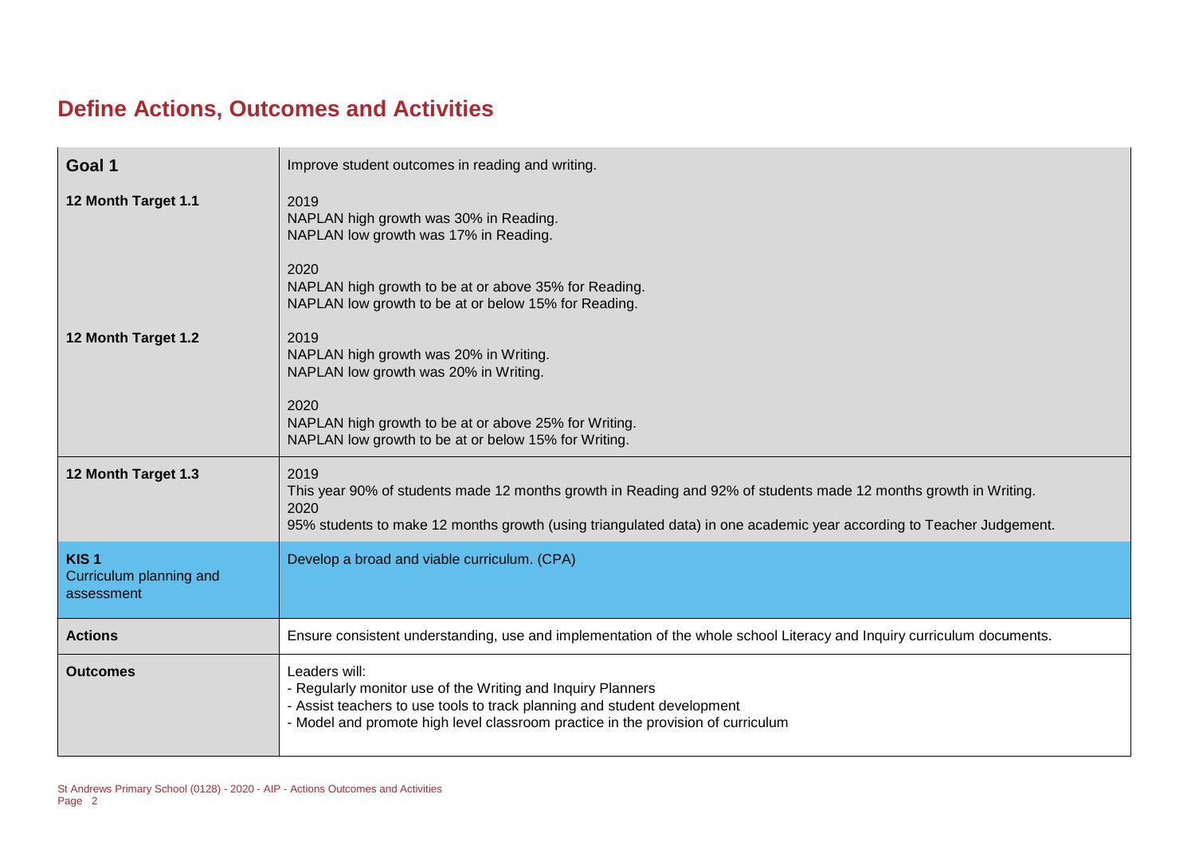## **Define Actions, Outcomes and Activities**

| Goal 1                                                    | Improve student outcomes in reading and writing.                                                                                                                                                                                                         |
|-----------------------------------------------------------|----------------------------------------------------------------------------------------------------------------------------------------------------------------------------------------------------------------------------------------------------------|
| 12 Month Target 1.1                                       | 2019<br>NAPLAN high growth was 30% in Reading.<br>NAPLAN low growth was 17% in Reading.<br>2020<br>NAPLAN high growth to be at or above 35% for Reading.<br>NAPLAN low growth to be at or below 15% for Reading.                                         |
| 12 Month Target 1.2                                       | 2019<br>NAPLAN high growth was 20% in Writing.<br>NAPLAN low growth was 20% in Writing.<br>2020<br>NAPLAN high growth to be at or above 25% for Writing.<br>NAPLAN low growth to be at or below 15% for Writing.                                         |
| 12 Month Target 1.3                                       | 2019<br>This year 90% of students made 12 months growth in Reading and 92% of students made 12 months growth in Writing.<br>2020<br>95% students to make 12 months growth (using triangulated data) in one academic year according to Teacher Judgement. |
| KIS <sub>1</sub><br>Curriculum planning and<br>assessment | Develop a broad and viable curriculum. (CPA)                                                                                                                                                                                                             |
| <b>Actions</b>                                            | Ensure consistent understanding, use and implementation of the whole school Literacy and Inquiry curriculum documents.                                                                                                                                   |
| <b>Outcomes</b>                                           | Leaders will:<br>- Regularly monitor use of the Writing and Inquiry Planners<br>- Assist teachers to use tools to track planning and student development<br>- Model and promote high level classroom practice in the provision of curriculum             |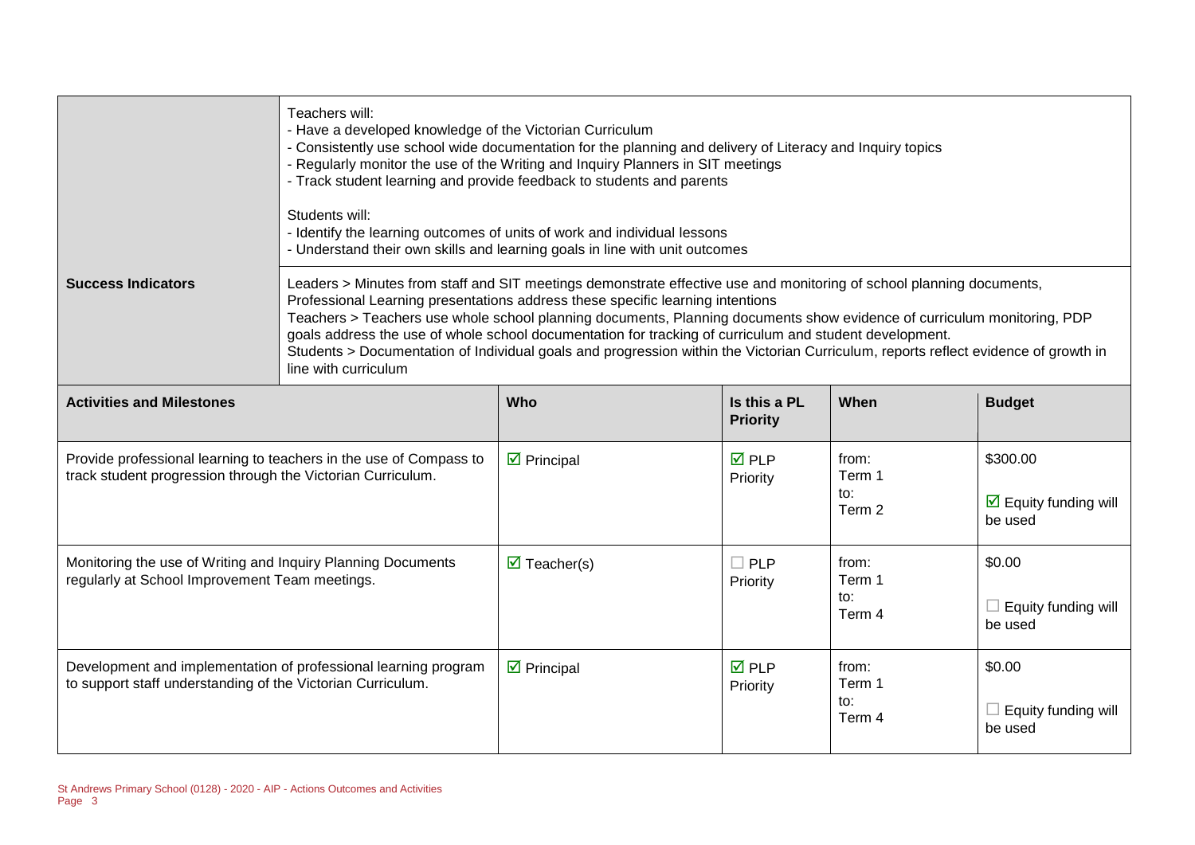|                                                                                                                                   | Teachers will:<br>- Have a developed knowledge of the Victorian Curriculum<br>- Consistently use school wide documentation for the planning and delivery of Literacy and Inquiry topics<br>- Regularly monitor the use of the Writing and Inquiry Planners in SIT meetings<br>- Track student learning and provide feedback to students and parents<br>Students will:<br>- Identify the learning outcomes of units of work and individual lessons<br>- Understand their own skills and learning goals in line with unit outcomes                                                                            |                                    |                                 |                                  |                                                             |
|-----------------------------------------------------------------------------------------------------------------------------------|-------------------------------------------------------------------------------------------------------------------------------------------------------------------------------------------------------------------------------------------------------------------------------------------------------------------------------------------------------------------------------------------------------------------------------------------------------------------------------------------------------------------------------------------------------------------------------------------------------------|------------------------------------|---------------------------------|----------------------------------|-------------------------------------------------------------|
| <b>Success Indicators</b>                                                                                                         | Leaders > Minutes from staff and SIT meetings demonstrate effective use and monitoring of school planning documents,<br>Professional Learning presentations address these specific learning intentions<br>Teachers > Teachers use whole school planning documents, Planning documents show evidence of curriculum monitoring, PDP<br>goals address the use of whole school documentation for tracking of curriculum and student development.<br>Students > Documentation of Individual goals and progression within the Victorian Curriculum, reports reflect evidence of growth in<br>line with curriculum |                                    |                                 |                                  |                                                             |
| <b>Activities and Milestones</b>                                                                                                  |                                                                                                                                                                                                                                                                                                                                                                                                                                                                                                                                                                                                             | Who                                | Is this a PL<br><b>Priority</b> | When                             | <b>Budget</b>                                               |
| Provide professional learning to teachers in the use of Compass to<br>track student progression through the Victorian Curriculum. |                                                                                                                                                                                                                                                                                                                                                                                                                                                                                                                                                                                                             | $\triangledown$ Principal          | $\overline{M}$ PLP<br>Priority  | from:<br>Term 1<br>to:<br>Term 2 | \$300.00<br>$\triangleright$ Equity funding will<br>be used |
| Monitoring the use of Writing and Inquiry Planning Documents<br>regularly at School Improvement Team meetings.                    |                                                                                                                                                                                                                                                                                                                                                                                                                                                                                                                                                                                                             | $\overline{\mathbf{M}}$ Teacher(s) | $\Box$ PLP<br>Priority          | from:<br>Term 1<br>to:<br>Term 4 | \$0.00<br>$\Box$ Equity funding will<br>be used             |
| Development and implementation of professional learning program<br>to support staff understanding of the Victorian Curriculum.    |                                                                                                                                                                                                                                                                                                                                                                                                                                                                                                                                                                                                             | $\triangleright$ Principal         | $\overline{M}$ PLP<br>Priority  | from:<br>Term 1<br>to:<br>Term 4 | \$0.00<br>$\Box$ Equity funding will<br>be used             |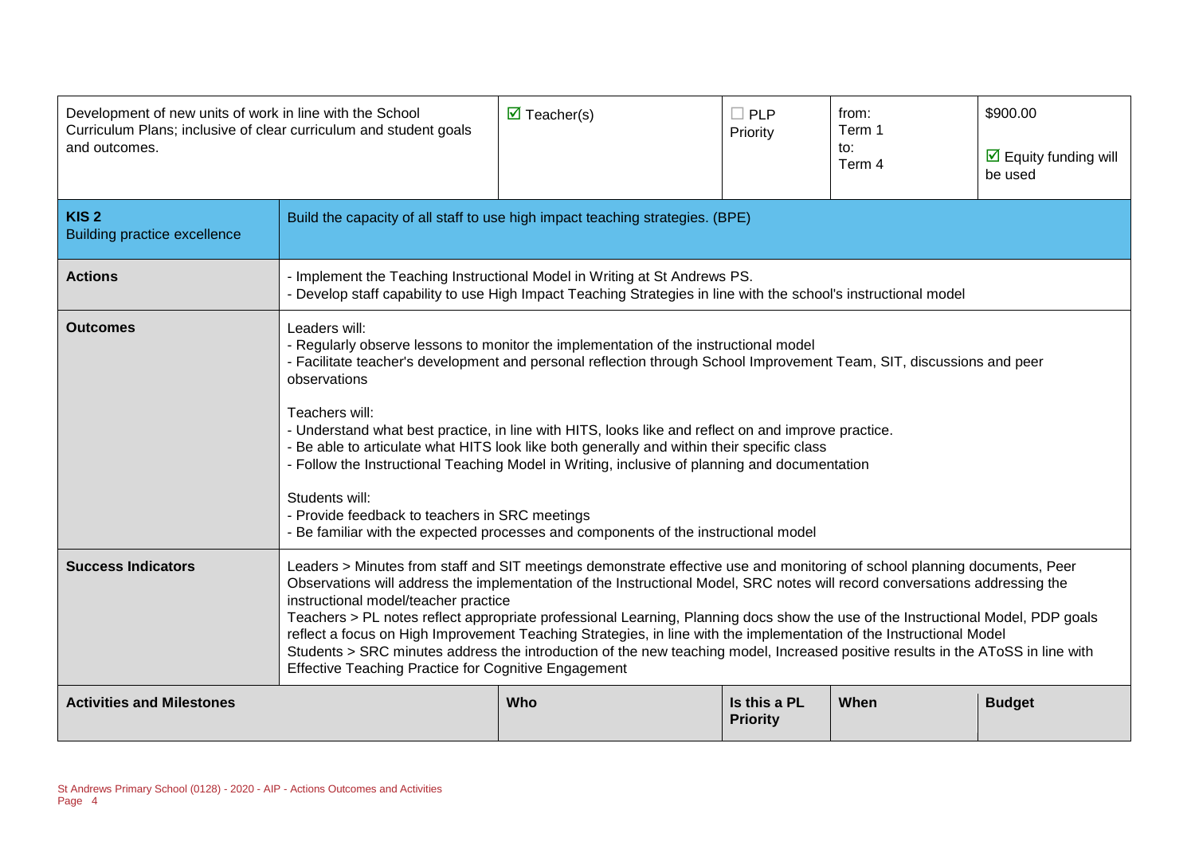| Development of new units of work in line with the School<br>Curriculum Plans; inclusive of clear curriculum and student goals<br>and outcomes. |                                                                                                                                                                                                                                                                                                                                                                                                                                                                                                                                                                                                                                                                                                                                                              | $\overline{\mathbf{M}}$ Teacher(s)                                                                                                                                                                                                                                                                                                                                                                                                                                                                                                                                                                                                                           | $\Box$ PLP<br>Priority          | from:<br>Term 1<br>to:<br>Term 4 | \$900.00<br>$\overline{\mathbf{y}}$ Equity funding will<br>be used |
|------------------------------------------------------------------------------------------------------------------------------------------------|--------------------------------------------------------------------------------------------------------------------------------------------------------------------------------------------------------------------------------------------------------------------------------------------------------------------------------------------------------------------------------------------------------------------------------------------------------------------------------------------------------------------------------------------------------------------------------------------------------------------------------------------------------------------------------------------------------------------------------------------------------------|--------------------------------------------------------------------------------------------------------------------------------------------------------------------------------------------------------------------------------------------------------------------------------------------------------------------------------------------------------------------------------------------------------------------------------------------------------------------------------------------------------------------------------------------------------------------------------------------------------------------------------------------------------------|---------------------------------|----------------------------------|--------------------------------------------------------------------|
| KIS <sub>2</sub><br><b>Building practice excellence</b>                                                                                        | Build the capacity of all staff to use high impact teaching strategies. (BPE)                                                                                                                                                                                                                                                                                                                                                                                                                                                                                                                                                                                                                                                                                |                                                                                                                                                                                                                                                                                                                                                                                                                                                                                                                                                                                                                                                              |                                 |                                  |                                                                    |
| <b>Actions</b>                                                                                                                                 |                                                                                                                                                                                                                                                                                                                                                                                                                                                                                                                                                                                                                                                                                                                                                              | - Implement the Teaching Instructional Model in Writing at St Andrews PS.<br>- Develop staff capability to use High Impact Teaching Strategies in line with the school's instructional model                                                                                                                                                                                                                                                                                                                                                                                                                                                                 |                                 |                                  |                                                                    |
| <b>Outcomes</b>                                                                                                                                | Leaders will:<br>observations<br>Teachers will:<br>Students will:                                                                                                                                                                                                                                                                                                                                                                                                                                                                                                                                                                                                                                                                                            | - Regularly observe lessons to monitor the implementation of the instructional model<br>- Facilitate teacher's development and personal reflection through School Improvement Team, SIT, discussions and peer<br>- Understand what best practice, in line with HITS, looks like and reflect on and improve practice.<br>- Be able to articulate what HITS look like both generally and within their specific class<br>- Follow the Instructional Teaching Model in Writing, inclusive of planning and documentation<br>- Provide feedback to teachers in SRC meetings<br>- Be familiar with the expected processes and components of the instructional model |                                 |                                  |                                                                    |
| <b>Success Indicators</b>                                                                                                                      | Leaders > Minutes from staff and SIT meetings demonstrate effective use and monitoring of school planning documents, Peer<br>Observations will address the implementation of the Instructional Model, SRC notes will record conversations addressing the<br>instructional model/teacher practice<br>Teachers > PL notes reflect appropriate professional Learning, Planning docs show the use of the Instructional Model, PDP goals<br>reflect a focus on High Improvement Teaching Strategies, in line with the implementation of the Instructional Model<br>Students > SRC minutes address the introduction of the new teaching model, Increased positive results in the AToSS in line with<br><b>Effective Teaching Practice for Cognitive Engagement</b> |                                                                                                                                                                                                                                                                                                                                                                                                                                                                                                                                                                                                                                                              |                                 |                                  |                                                                    |
| <b>Activities and Milestones</b>                                                                                                               |                                                                                                                                                                                                                                                                                                                                                                                                                                                                                                                                                                                                                                                                                                                                                              | Who                                                                                                                                                                                                                                                                                                                                                                                                                                                                                                                                                                                                                                                          | Is this a PL<br><b>Priority</b> | When                             | <b>Budget</b>                                                      |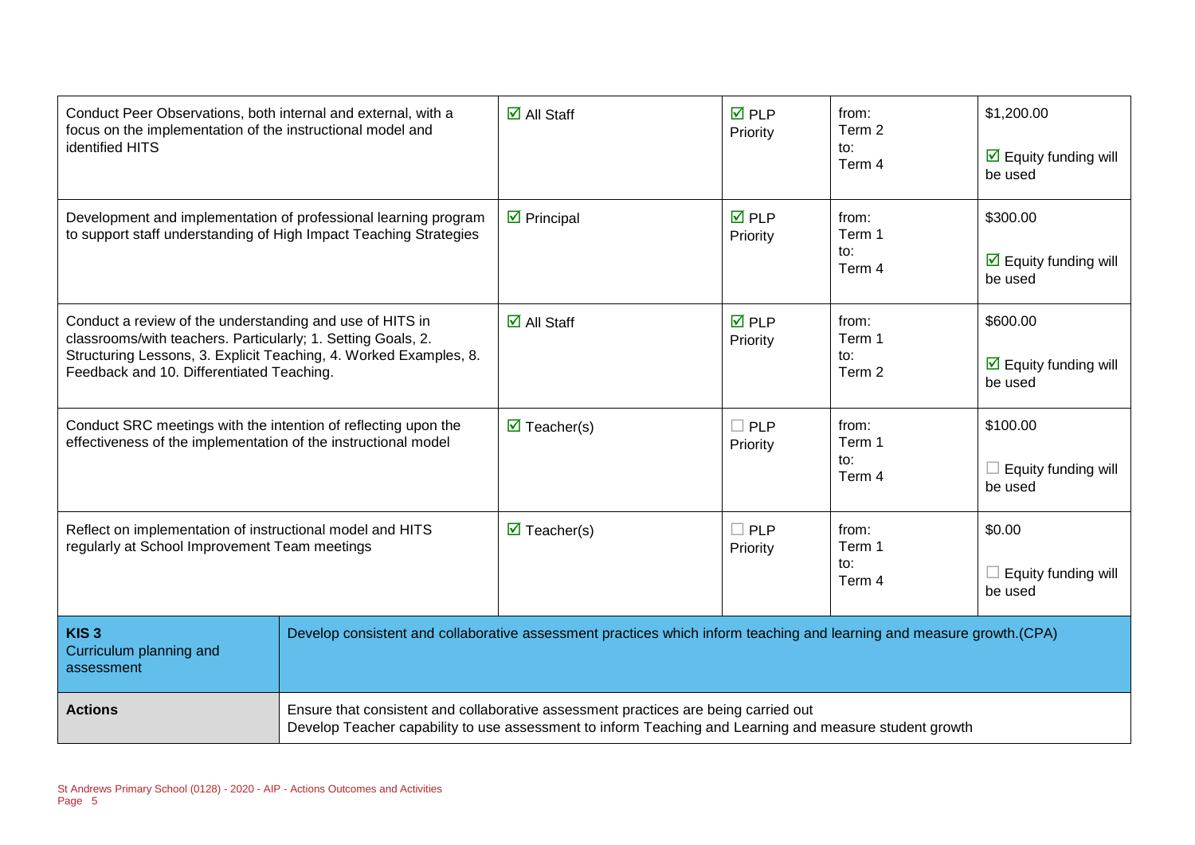| Conduct Peer Observations, both internal and external, with a<br>focus on the implementation of the instructional model and<br>identified HITS                                                                                             |  | $\overline{\mathbf{M}}$ All Staff                                                                                                                                                              | <b>☑</b> PLP<br>Priority | from:<br>Term 2<br>to:<br>Term 4 | \$1,200.00<br>$\overline{\mathbf{y}}$ Equity funding will<br>be used |
|--------------------------------------------------------------------------------------------------------------------------------------------------------------------------------------------------------------------------------------------|--|------------------------------------------------------------------------------------------------------------------------------------------------------------------------------------------------|--------------------------|----------------------------------|----------------------------------------------------------------------|
| Development and implementation of professional learning program<br>to support staff understanding of High Impact Teaching Strategies                                                                                                       |  | $\triangleright$ Principal                                                                                                                                                                     | <b>☑</b> PLP<br>Priority | from:<br>Term 1<br>to:<br>Term 4 | \$300.00<br>$\triangleright$ Equity funding will<br>be used          |
| Conduct a review of the understanding and use of HITS in<br>classrooms/with teachers. Particularly; 1. Setting Goals, 2.<br>Structuring Lessons, 3. Explicit Teaching, 4. Worked Examples, 8.<br>Feedback and 10. Differentiated Teaching. |  | $\overline{\mathbf{M}}$ All Staff                                                                                                                                                              | <b>☑</b> PLP<br>Priority | from:<br>Term 1<br>to:<br>Term 2 | \$600.00<br>$\overline{\mathbf{M}}$ Equity funding will<br>be used   |
| Conduct SRC meetings with the intention of reflecting upon the<br>effectiveness of the implementation of the instructional model                                                                                                           |  | $\overline{\mathbf{M}}$ Teacher(s)                                                                                                                                                             | $\Box$ PLP<br>Priority   | from:<br>Term 1<br>to:<br>Term 4 | \$100.00<br>$\Box$ Equity funding will<br>be used                    |
| Reflect on implementation of instructional model and HITS<br>regularly at School Improvement Team meetings                                                                                                                                 |  | $\overline{\mathbf{M}}$ Teacher(s)                                                                                                                                                             | $\Box$ PLP<br>Priority   | from:<br>Term 1<br>to:<br>Term 4 | \$0.00<br>$\Box$ Equity funding will<br>be used                      |
| KIS <sub>3</sub><br>Curriculum planning and<br>assessment                                                                                                                                                                                  |  | Develop consistent and collaborative assessment practices which inform teaching and learning and measure growth.(CPA)                                                                          |                          |                                  |                                                                      |
| <b>Actions</b>                                                                                                                                                                                                                             |  | Ensure that consistent and collaborative assessment practices are being carried out<br>Develop Teacher capability to use assessment to inform Teaching and Learning and measure student growth |                          |                                  |                                                                      |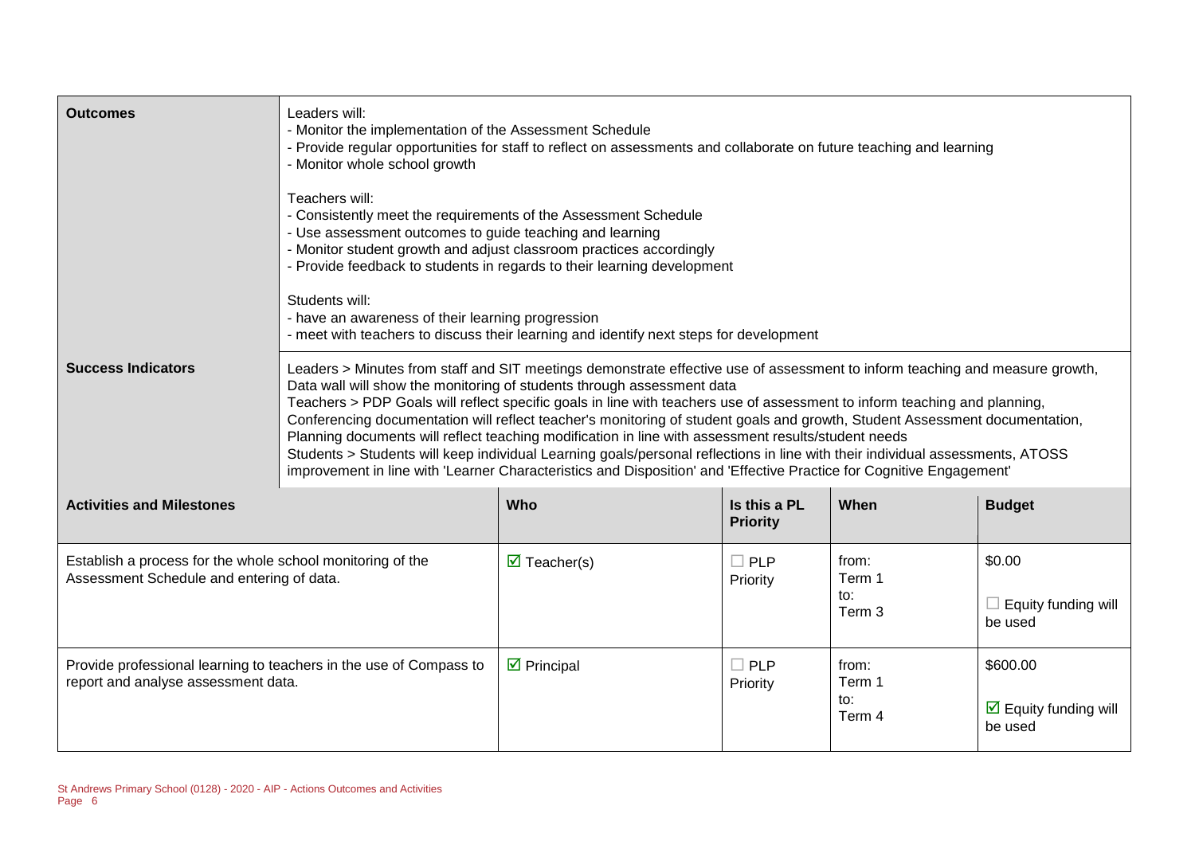| <b>Outcomes</b>                                                                                           | Leaders will:<br>- Monitor the implementation of the Assessment Schedule<br>- Provide regular opportunities for staff to reflect on assessments and collaborate on future teaching and learning<br>- Monitor whole school growth<br>Teachers will:<br>- Consistently meet the requirements of the Assessment Schedule<br>- Use assessment outcomes to guide teaching and learning<br>- Monitor student growth and adjust classroom practices accordingly<br>- Provide feedback to students in regards to their learning development<br>Students will:<br>- have an awareness of their learning progression<br>- meet with teachers to discuss their learning and identify next steps for development                                                                                                                               |                            |                                 |                                  |                                                        |
|-----------------------------------------------------------------------------------------------------------|------------------------------------------------------------------------------------------------------------------------------------------------------------------------------------------------------------------------------------------------------------------------------------------------------------------------------------------------------------------------------------------------------------------------------------------------------------------------------------------------------------------------------------------------------------------------------------------------------------------------------------------------------------------------------------------------------------------------------------------------------------------------------------------------------------------------------------|----------------------------|---------------------------------|----------------------------------|--------------------------------------------------------|
| <b>Success Indicators</b>                                                                                 | Leaders > Minutes from staff and SIT meetings demonstrate effective use of assessment to inform teaching and measure growth,<br>Data wall will show the monitoring of students through assessment data<br>Teachers > PDP Goals will reflect specific goals in line with teachers use of assessment to inform teaching and planning,<br>Conferencing documentation will reflect teacher's monitoring of student goals and growth, Student Assessment documentation,<br>Planning documents will reflect teaching modification in line with assessment results/student needs<br>Students > Students will keep individual Learning goals/personal reflections in line with their individual assessments, ATOSS<br>improvement in line with 'Learner Characteristics and Disposition' and 'Effective Practice for Cognitive Engagement' |                            |                                 |                                  |                                                        |
| <b>Activities and Milestones</b>                                                                          |                                                                                                                                                                                                                                                                                                                                                                                                                                                                                                                                                                                                                                                                                                                                                                                                                                    | Who                        | Is this a PL<br><b>Priority</b> | When                             | <b>Budget</b>                                          |
| Establish a process for the whole school monitoring of the<br>Assessment Schedule and entering of data.   |                                                                                                                                                                                                                                                                                                                                                                                                                                                                                                                                                                                                                                                                                                                                                                                                                                    | $\triangledown$ Teacher(s) | $\Box$ PLP<br>Priority          | from:<br>Term 1<br>to:<br>Term 3 | \$0.00<br>$\Box$ Equity funding will<br>be used        |
| Provide professional learning to teachers in the use of Compass to<br>report and analyse assessment data. |                                                                                                                                                                                                                                                                                                                                                                                                                                                                                                                                                                                                                                                                                                                                                                                                                                    | $\triangleright$ Principal | $\Box$ PLP<br>Priority          | from:<br>Term 1<br>to:<br>Term 4 | \$600.00<br>$\boxtimes$ Equity funding will<br>be used |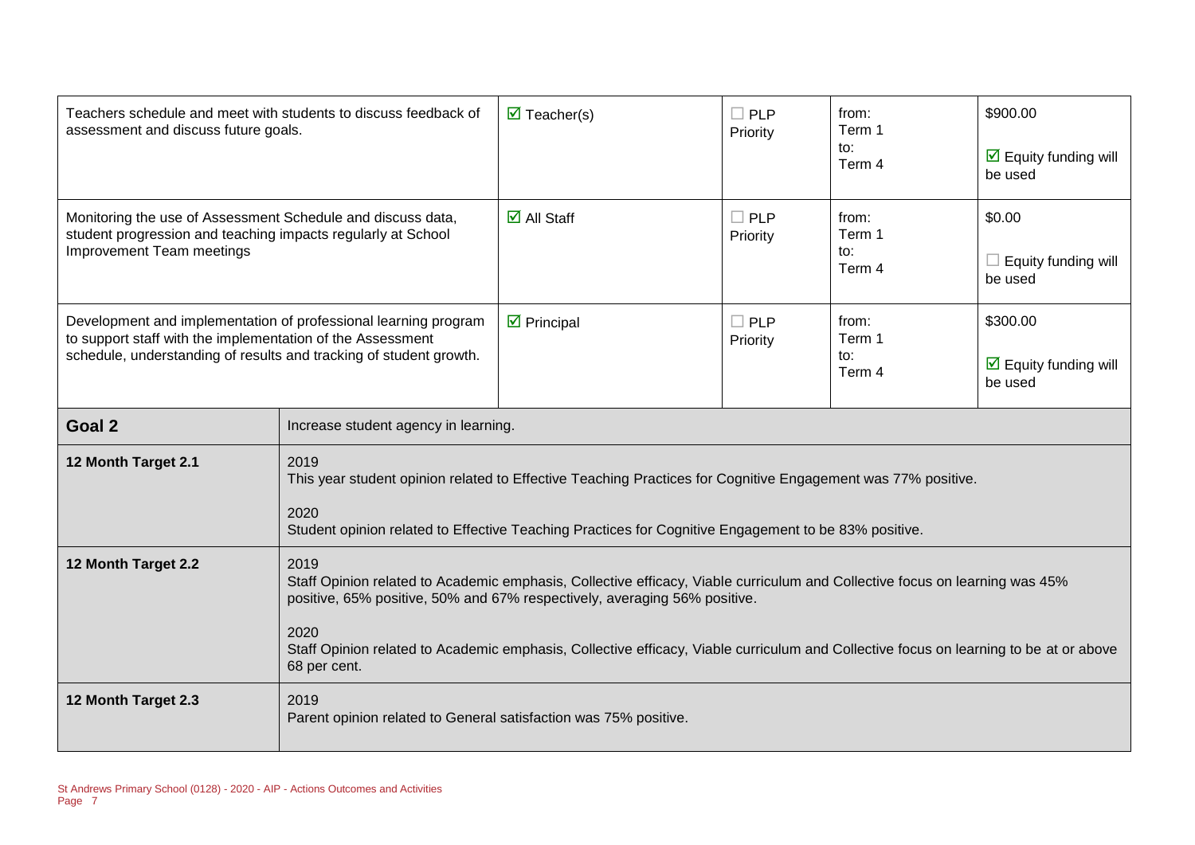| Teachers schedule and meet with students to discuss feedback of<br>assessment and discuss future goals.                                                                                             |                                                                                                                                                                                                                                                                                                                                                                                   | $\triangledown$ Teacher(s)                                                                                                                                                                                           | $\Box$ PLP<br>Priority | from:<br>Term 1<br>to:<br>Term 4 | \$900.00<br>$\triangleright$ Equity funding will<br>be used |
|-----------------------------------------------------------------------------------------------------------------------------------------------------------------------------------------------------|-----------------------------------------------------------------------------------------------------------------------------------------------------------------------------------------------------------------------------------------------------------------------------------------------------------------------------------------------------------------------------------|----------------------------------------------------------------------------------------------------------------------------------------------------------------------------------------------------------------------|------------------------|----------------------------------|-------------------------------------------------------------|
| Monitoring the use of Assessment Schedule and discuss data,<br>student progression and teaching impacts regularly at School<br>Improvement Team meetings                                            |                                                                                                                                                                                                                                                                                                                                                                                   | $\overline{\mathbf{M}}$ All Staff                                                                                                                                                                                    | $\Box$ PLP<br>Priority | from:<br>Term 1<br>to:<br>Term 4 | \$0.00<br>Equity funding will<br>be used                    |
| Development and implementation of professional learning program<br>to support staff with the implementation of the Assessment<br>schedule, understanding of results and tracking of student growth. |                                                                                                                                                                                                                                                                                                                                                                                   | $\triangleright$ Principal                                                                                                                                                                                           | $\Box$ PLP<br>Priority | from:<br>Term 1<br>to:<br>Term 4 | \$300.00<br>$\triangleright$ Equity funding will<br>be used |
| Goal <sub>2</sub>                                                                                                                                                                                   |                                                                                                                                                                                                                                                                                                                                                                                   | Increase student agency in learning.                                                                                                                                                                                 |                        |                                  |                                                             |
| 12 Month Target 2.1                                                                                                                                                                                 | 2019<br>2020                                                                                                                                                                                                                                                                                                                                                                      | This year student opinion related to Effective Teaching Practices for Cognitive Engagement was 77% positive.<br>Student opinion related to Effective Teaching Practices for Cognitive Engagement to be 83% positive. |                        |                                  |                                                             |
| 12 Month Target 2.2                                                                                                                                                                                 | 2019<br>Staff Opinion related to Academic emphasis, Collective efficacy, Viable curriculum and Collective focus on learning was 45%<br>positive, 65% positive, 50% and 67% respectively, averaging 56% positive.<br>2020<br>Staff Opinion related to Academic emphasis, Collective efficacy, Viable curriculum and Collective focus on learning to be at or above<br>68 per cent. |                                                                                                                                                                                                                      |                        |                                  |                                                             |
| 12 Month Target 2.3                                                                                                                                                                                 | 2019<br>Parent opinion related to General satisfaction was 75% positive.                                                                                                                                                                                                                                                                                                          |                                                                                                                                                                                                                      |                        |                                  |                                                             |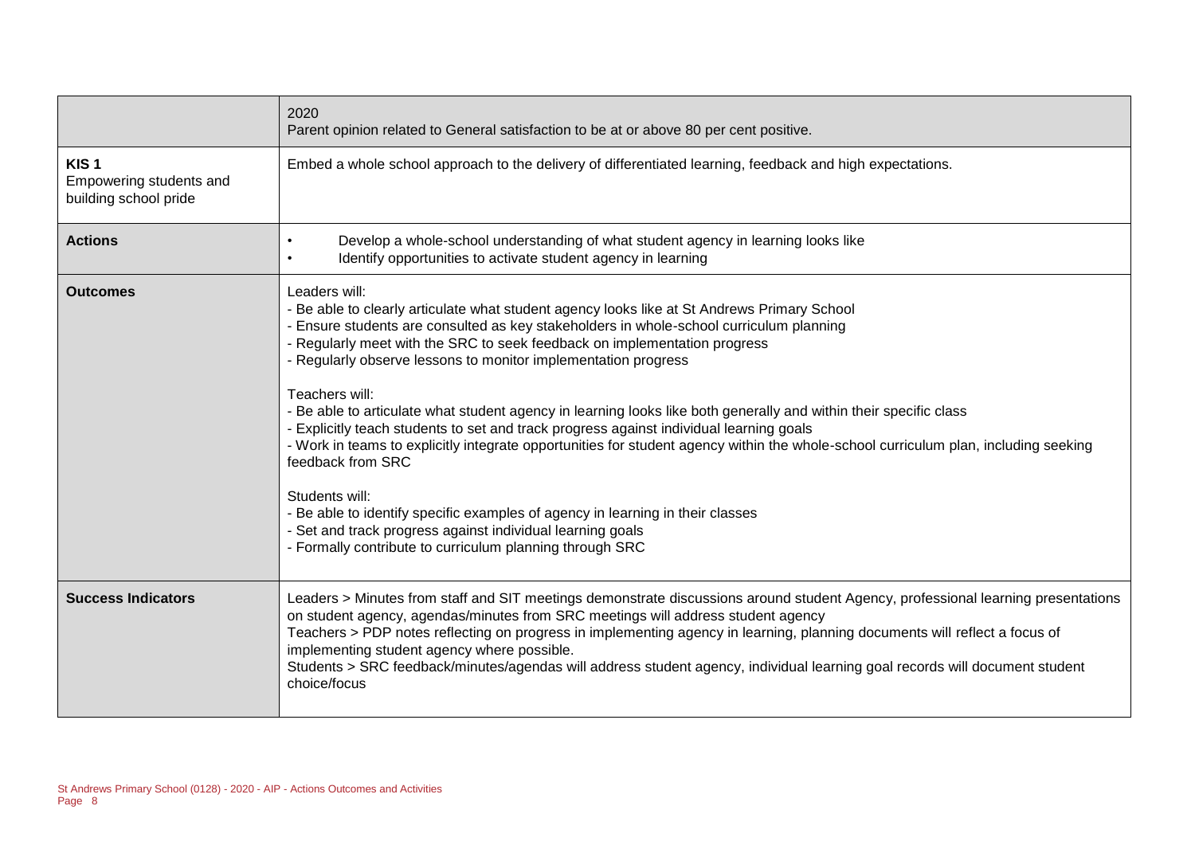|                                                                      | 2020<br>Parent opinion related to General satisfaction to be at or above 80 per cent positive.                                                                                                                                                                                                                                                                                                                                                                                                                                                                                                                                                                                                                                                                                                                                                                                                                                                                                     |
|----------------------------------------------------------------------|------------------------------------------------------------------------------------------------------------------------------------------------------------------------------------------------------------------------------------------------------------------------------------------------------------------------------------------------------------------------------------------------------------------------------------------------------------------------------------------------------------------------------------------------------------------------------------------------------------------------------------------------------------------------------------------------------------------------------------------------------------------------------------------------------------------------------------------------------------------------------------------------------------------------------------------------------------------------------------|
| KIS <sub>1</sub><br>Empowering students and<br>building school pride | Embed a whole school approach to the delivery of differentiated learning, feedback and high expectations.                                                                                                                                                                                                                                                                                                                                                                                                                                                                                                                                                                                                                                                                                                                                                                                                                                                                          |
| <b>Actions</b>                                                       | Develop a whole-school understanding of what student agency in learning looks like<br>Identify opportunities to activate student agency in learning                                                                                                                                                                                                                                                                                                                                                                                                                                                                                                                                                                                                                                                                                                                                                                                                                                |
| <b>Outcomes</b>                                                      | Leaders will:<br>- Be able to clearly articulate what student agency looks like at St Andrews Primary School<br>- Ensure students are consulted as key stakeholders in whole-school curriculum planning<br>- Regularly meet with the SRC to seek feedback on implementation progress<br>- Regularly observe lessons to monitor implementation progress<br>Teachers will:<br>- Be able to articulate what student agency in learning looks like both generally and within their specific class<br>- Explicitly teach students to set and track progress against individual learning goals<br>- Work in teams to explicitly integrate opportunities for student agency within the whole-school curriculum plan, including seeking<br>feedback from SRC<br>Students will:<br>- Be able to identify specific examples of agency in learning in their classes<br>- Set and track progress against individual learning goals<br>- Formally contribute to curriculum planning through SRC |
| <b>Success Indicators</b>                                            | Leaders > Minutes from staff and SIT meetings demonstrate discussions around student Agency, professional learning presentations<br>on student agency, agendas/minutes from SRC meetings will address student agency<br>Teachers > PDP notes reflecting on progress in implementing agency in learning, planning documents will reflect a focus of<br>implementing student agency where possible.<br>Students > SRC feedback/minutes/agendas will address student agency, individual learning goal records will document student<br>choice/focus                                                                                                                                                                                                                                                                                                                                                                                                                                   |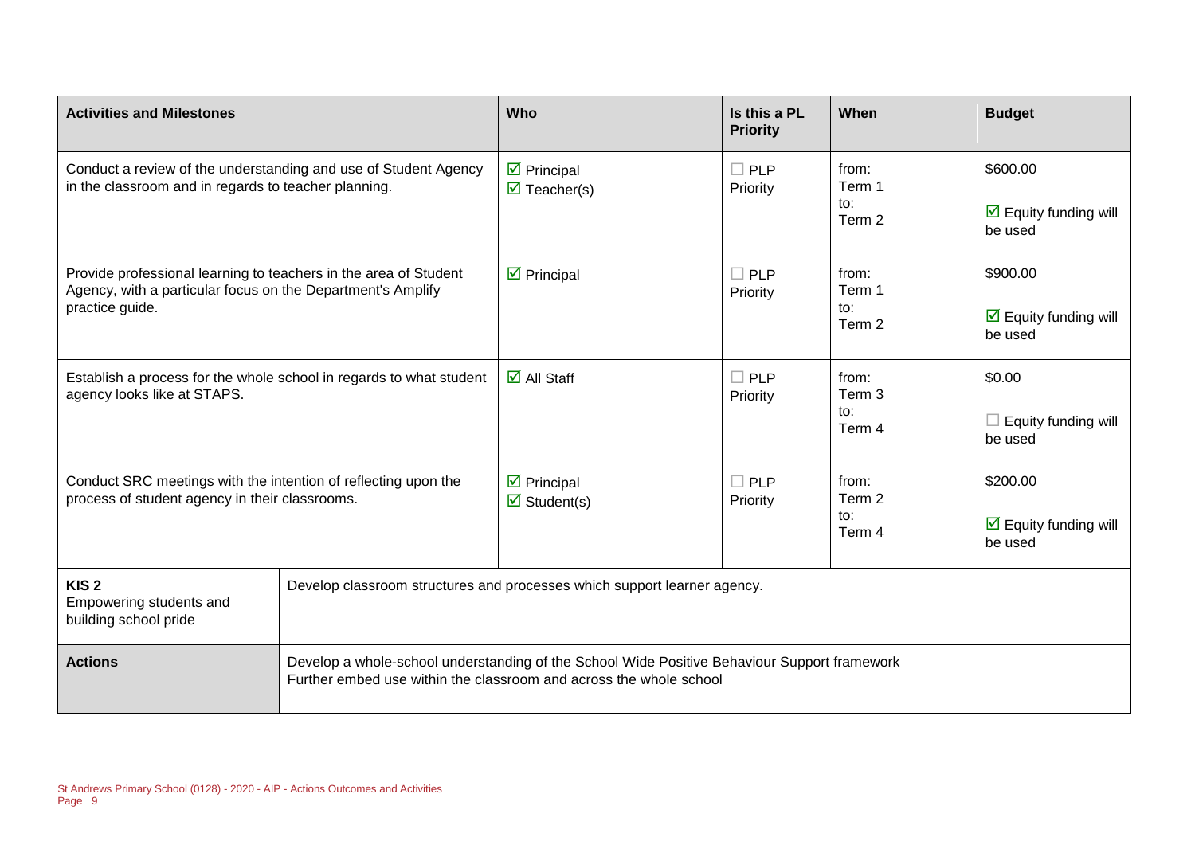| <b>Activities and Milestones</b>                                                                                                                   |                                                                          | Who                                                                                                                                                                | Is this a PL<br><b>Priority</b> | When                             | <b>Budget</b>                                               |
|----------------------------------------------------------------------------------------------------------------------------------------------------|--------------------------------------------------------------------------|--------------------------------------------------------------------------------------------------------------------------------------------------------------------|---------------------------------|----------------------------------|-------------------------------------------------------------|
| Conduct a review of the understanding and use of Student Agency<br>in the classroom and in regards to teacher planning.                            |                                                                          | $\triangleright$ Principal<br>$\overline{\mathbf{M}}$ Teacher(s)                                                                                                   | $\Box$ PLP<br>Priority          | from:<br>Term 1<br>to:<br>Term 2 | \$600.00<br>$\triangleright$ Equity funding will<br>be used |
| Provide professional learning to teachers in the area of Student<br>Agency, with a particular focus on the Department's Amplify<br>practice guide. |                                                                          | $\triangleright$ Principal                                                                                                                                         | $\Box$ PLP<br>Priority          | from:<br>Term 1<br>to:<br>Term 2 | \$900.00<br>$\triangleright$ Equity funding will<br>be used |
| Establish a process for the whole school in regards to what student<br>agency looks like at STAPS.                                                 |                                                                          | $\overline{\mathbf{M}}$ All Staff                                                                                                                                  | $\Box$ PLP<br>Priority          | from:<br>Term 3<br>to:<br>Term 4 | \$0.00<br>Equity funding will<br>be used                    |
| Conduct SRC meetings with the intention of reflecting upon the<br>process of student agency in their classrooms.                                   |                                                                          | $\triangleright$ Principal<br>$\triangledown$ Student(s)                                                                                                           | $\Box$ PLP<br>Priority          | from:<br>Term 2<br>to:<br>Term 4 | \$200.00<br>$\triangleright$ Equity funding will<br>be used |
| KIS <sub>2</sub><br>Empowering students and<br>building school pride                                                                               | Develop classroom structures and processes which support learner agency. |                                                                                                                                                                    |                                 |                                  |                                                             |
| <b>Actions</b>                                                                                                                                     |                                                                          | Develop a whole-school understanding of the School Wide Positive Behaviour Support framework<br>Further embed use within the classroom and across the whole school |                                 |                                  |                                                             |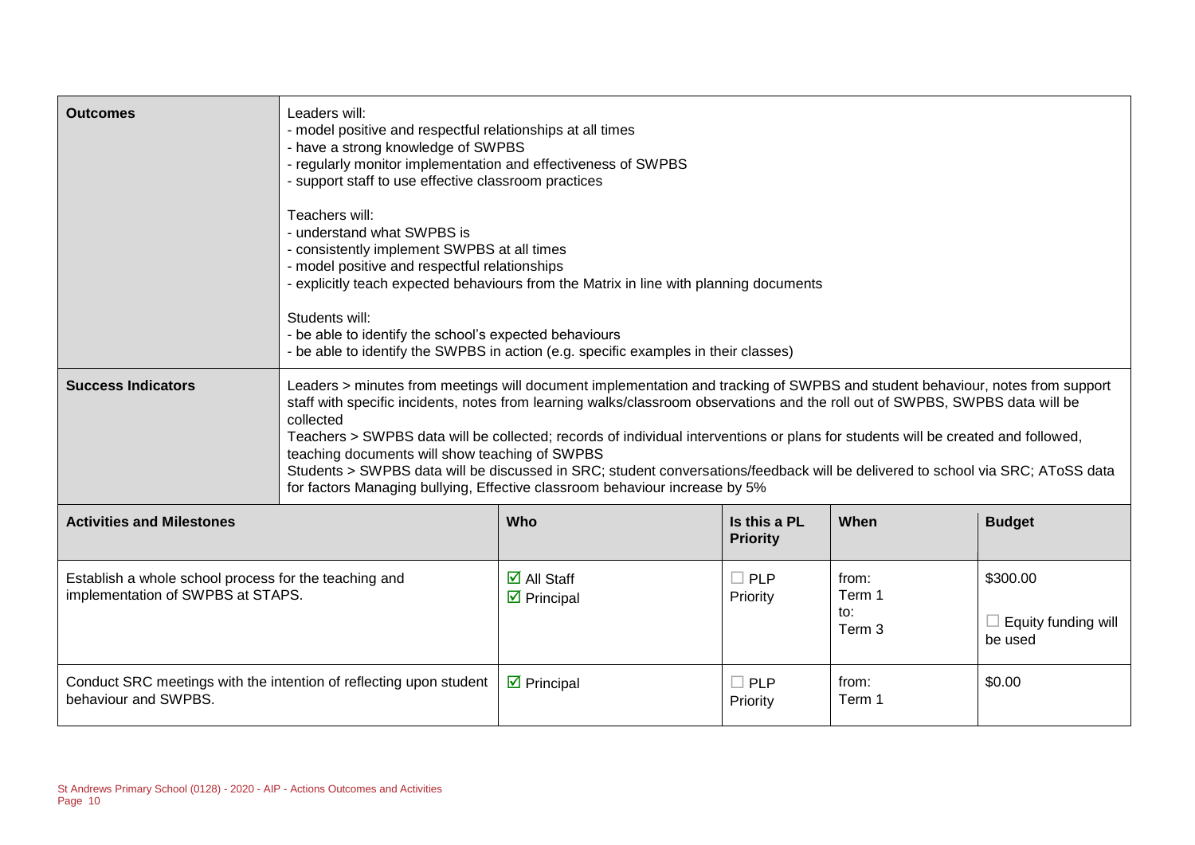| <b>Outcomes</b>                                                                            | Leaders will:<br>- model positive and respectful relationships at all times<br>- have a strong knowledge of SWPBS<br>- regularly monitor implementation and effectiveness of SWPBS<br>- support staff to use effective classroom practices<br>Teachers will:<br>- understand what SWPBS is<br>- consistently implement SWPBS at all times<br>- model positive and respectful relationships<br>Students will:<br>- be able to identify the school's expected behaviours                                                                                                                                                                                                            | - explicitly teach expected behaviours from the Matrix in line with planning documents<br>- be able to identify the SWPBS in action (e.g. specific examples in their classes) |                                 |                                             |                                                   |
|--------------------------------------------------------------------------------------------|-----------------------------------------------------------------------------------------------------------------------------------------------------------------------------------------------------------------------------------------------------------------------------------------------------------------------------------------------------------------------------------------------------------------------------------------------------------------------------------------------------------------------------------------------------------------------------------------------------------------------------------------------------------------------------------|-------------------------------------------------------------------------------------------------------------------------------------------------------------------------------|---------------------------------|---------------------------------------------|---------------------------------------------------|
| <b>Success Indicators</b>                                                                  | Leaders > minutes from meetings will document implementation and tracking of SWPBS and student behaviour, notes from support<br>staff with specific incidents, notes from learning walks/classroom observations and the roll out of SWPBS, SWPBS data will be<br>collected<br>Teachers > SWPBS data will be collected; records of individual interventions or plans for students will be created and followed,<br>teaching documents will show teaching of SWPBS<br>Students > SWPBS data will be discussed in SRC; student conversations/feedback will be delivered to school via SRC; AToSS data<br>for factors Managing bullying, Effective classroom behaviour increase by 5% |                                                                                                                                                                               |                                 |                                             |                                                   |
| <b>Activities and Milestones</b>                                                           |                                                                                                                                                                                                                                                                                                                                                                                                                                                                                                                                                                                                                                                                                   | Who                                                                                                                                                                           | Is this a PL<br><b>Priority</b> | When                                        | <b>Budget</b>                                     |
| Establish a whole school process for the teaching and<br>implementation of SWPBS at STAPS. |                                                                                                                                                                                                                                                                                                                                                                                                                                                                                                                                                                                                                                                                                   | $\overline{\Box}$ All Staff<br>$\triangleright$ Principal                                                                                                                     | $\Box$ PLP<br>Priority          | from:<br>Term 1<br>to:<br>Term <sub>3</sub> | \$300.00<br>$\Box$ Equity funding will<br>be used |
| behaviour and SWPBS.                                                                       | Conduct SRC meetings with the intention of reflecting upon student                                                                                                                                                                                                                                                                                                                                                                                                                                                                                                                                                                                                                | $\triangleright$ Principal                                                                                                                                                    | $\Box$ PLP<br>Priority          | from:<br>Term 1                             | \$0.00                                            |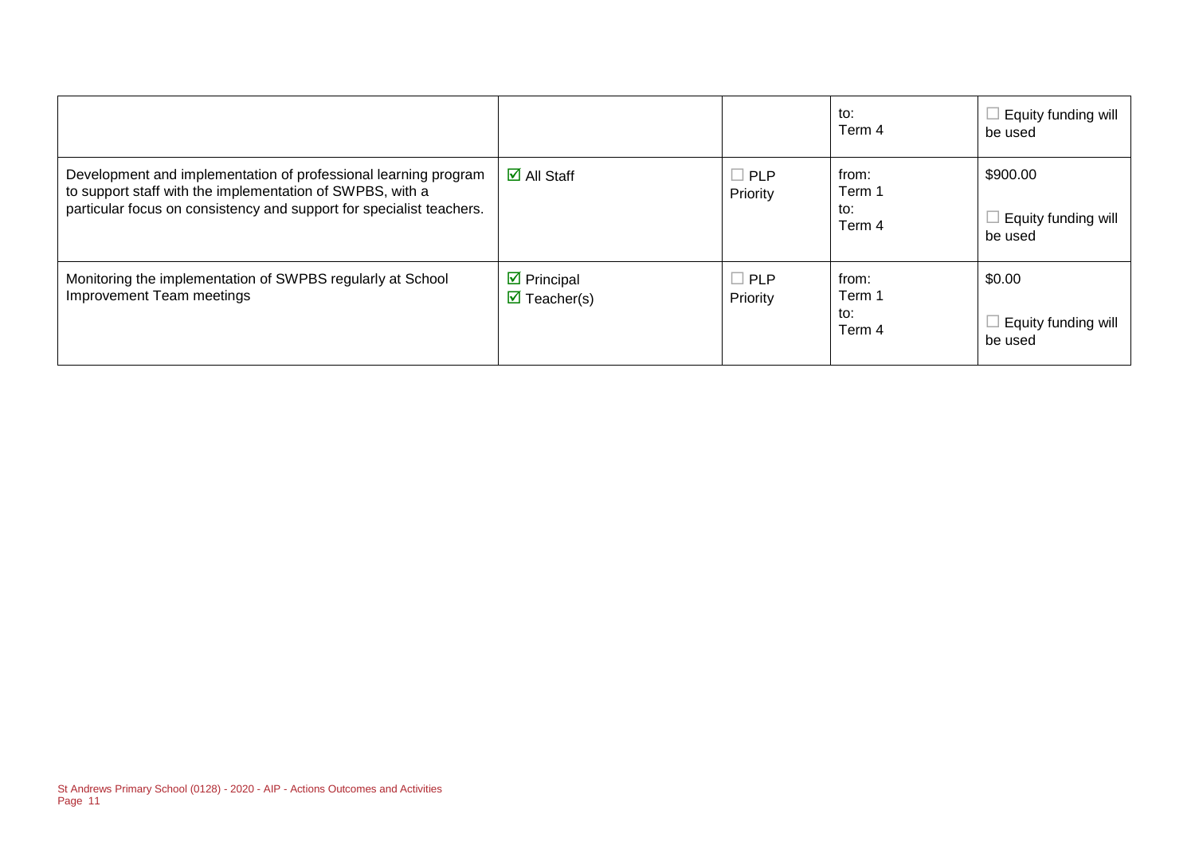|                                                                                                                                                                                                      |                                                          |                        | to:<br>Term 4                    | Equity funding will<br>be used             |
|------------------------------------------------------------------------------------------------------------------------------------------------------------------------------------------------------|----------------------------------------------------------|------------------------|----------------------------------|--------------------------------------------|
| Development and implementation of professional learning program<br>to support staff with the implementation of SWPBS, with a<br>particular focus on consistency and support for specialist teachers. | $\overline{\mathsf{M}}$ All Staff                        | $\Box$ PLP<br>Priority | from:<br>Term 1<br>to:<br>Term 4 | \$900.00<br>Equity funding will<br>be used |
| Monitoring the implementation of SWPBS regularly at School<br>Improvement Team meetings                                                                                                              | $\triangleright$ Principal<br>$\triangledown$ Teacher(s) | $\Box$ PLP<br>Priority | from:<br>Term 1<br>to:<br>Term 4 | \$0.00<br>Equity funding will<br>be used   |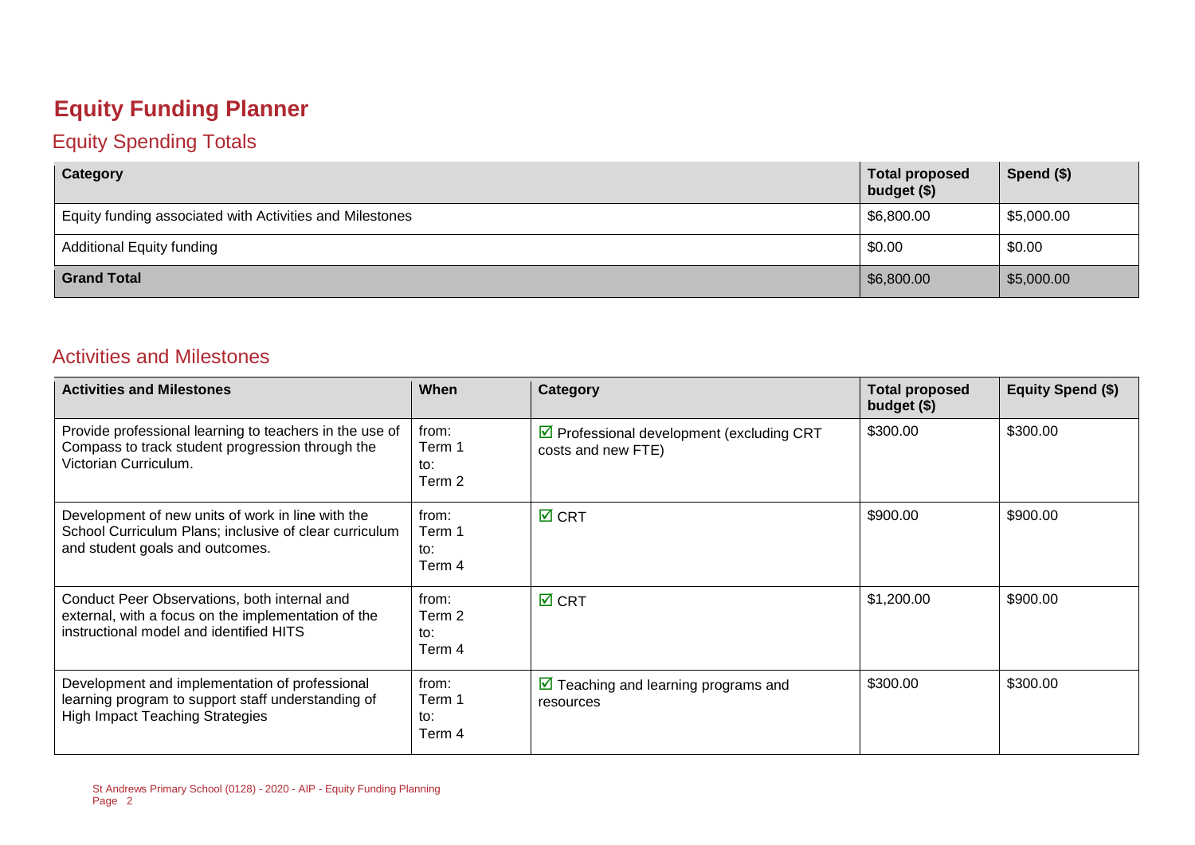# **Equity Funding Planner**

#### Equity Spending Totals

| Category                                                 | <b>Total proposed</b><br>budget (\$) | Spend (\$) |
|----------------------------------------------------------|--------------------------------------|------------|
| Equity funding associated with Activities and Milestones | \$6,800.00                           | \$5,000.00 |
| <b>Additional Equity funding</b>                         | \$0.00                               | \$0.00     |
| <b>Grand Total</b>                                       | \$6,800.00                           | \$5,000.00 |

#### Activities and Milestones

| <b>Activities and Milestones</b>                                                                                                               | When                             | Category                                                         | <b>Total proposed</b><br>budget (\$) | Equity Spend (\$) |
|------------------------------------------------------------------------------------------------------------------------------------------------|----------------------------------|------------------------------------------------------------------|--------------------------------------|-------------------|
| Provide professional learning to teachers in the use of<br>Compass to track student progression through the<br>Victorian Curriculum.           | from:<br>Term 1<br>to:<br>Term 2 | ◘ Professional development (excluding CRT<br>costs and new FTE)  | \$300.00                             | \$300.00          |
| Development of new units of work in line with the<br>School Curriculum Plans; inclusive of clear curriculum<br>and student goals and outcomes. | from:<br>Term 1<br>to:<br>Term 4 | $\overline{M}$ CRT                                               | \$900.00                             | \$900.00          |
| Conduct Peer Observations, both internal and<br>external, with a focus on the implementation of the<br>instructional model and identified HITS | from:<br>Term 2<br>to:<br>Term 4 | $\overline{M}$ CRT                                               | \$1,200.00                           | \$900.00          |
| Development and implementation of professional<br>learning program to support staff understanding of<br><b>High Impact Teaching Strategies</b> | from:<br>Term 1<br>to:<br>Term 4 | $\triangleright$ Teaching and learning programs and<br>resources | \$300.00                             | \$300.00          |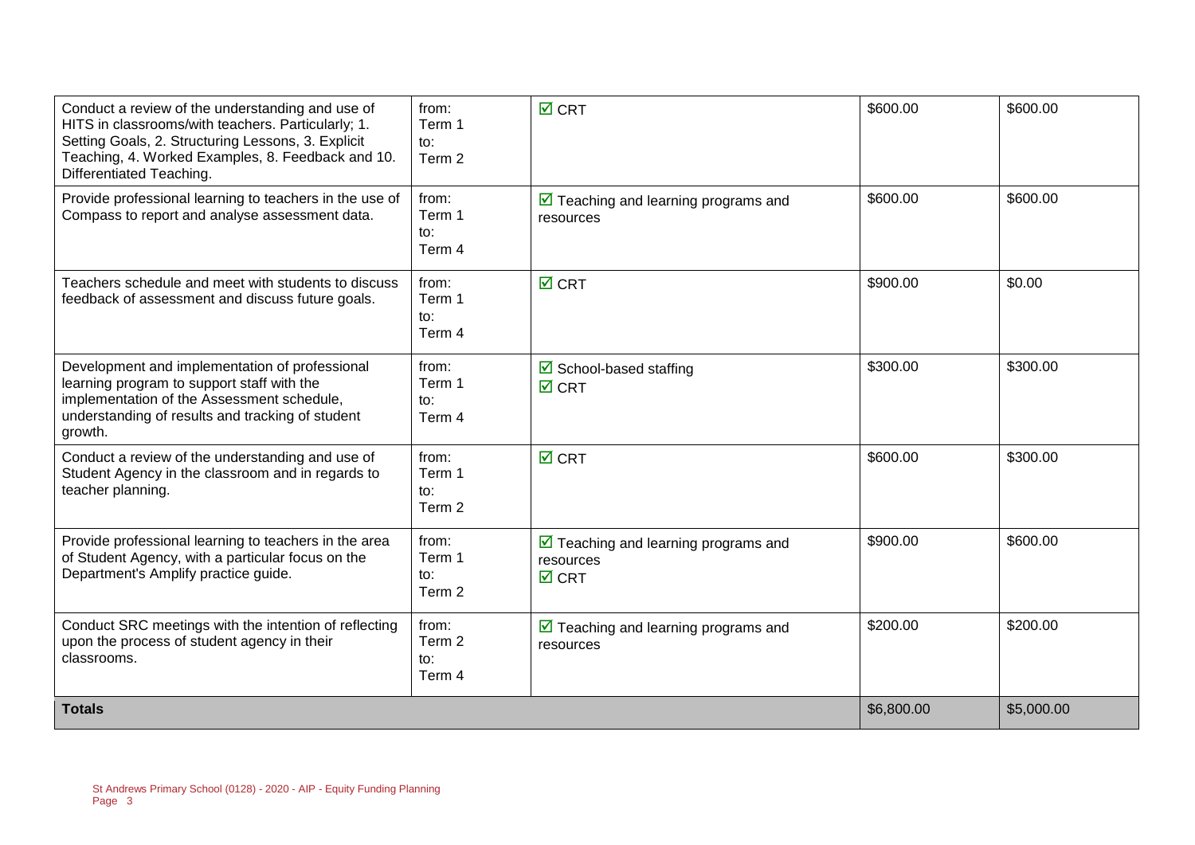| Conduct a review of the understanding and use of<br>HITS in classrooms/with teachers. Particularly; 1.<br>Setting Goals, 2. Structuring Lessons, 3. Explicit<br>Teaching, 4. Worked Examples, 8. Feedback and 10.<br>Differentiated Teaching. | from:<br>Term 1<br>to:<br>Term 2            | $\overline{M}$ CRT                                                                  | \$600.00 | \$600.00   |
|-----------------------------------------------------------------------------------------------------------------------------------------------------------------------------------------------------------------------------------------------|---------------------------------------------|-------------------------------------------------------------------------------------|----------|------------|
| Provide professional learning to teachers in the use of<br>Compass to report and analyse assessment data.                                                                                                                                     | from:<br>Term 1<br>to:<br>Term 4            | $\triangleright$ Teaching and learning programs and<br>resources                    | \$600.00 | \$600.00   |
| Teachers schedule and meet with students to discuss<br>feedback of assessment and discuss future goals.                                                                                                                                       | from:<br>Term 1<br>to:<br>Term 4            | $\boxtimes$ CRT                                                                     | \$900.00 | \$0.00     |
| Development and implementation of professional<br>learning program to support staff with the<br>implementation of the Assessment schedule,<br>understanding of results and tracking of student<br>growth.                                     | from:<br>Term 1<br>to:<br>Term 4            | $\triangleright$ School-based staffing<br>$\boxtimes$ CRT                           | \$300.00 | \$300.00   |
| Conduct a review of the understanding and use of<br>Student Agency in the classroom and in regards to<br>teacher planning.                                                                                                                    | from:<br>Term 1<br>$\mathsf{to}:$<br>Term 2 | $\boxtimes$ CRT                                                                     | \$600.00 | \$300.00   |
| Provide professional learning to teachers in the area<br>of Student Agency, with a particular focus on the<br>Department's Amplify practice guide.                                                                                            | from:<br>Term 1<br>$\mathsf{to}:$<br>Term 2 | $\triangleright$ Teaching and learning programs and<br>resources<br>$\boxtimes$ CRT | \$900.00 | \$600.00   |
| Conduct SRC meetings with the intention of reflecting<br>upon the process of student agency in their<br>classrooms.                                                                                                                           | from:<br>Term 2<br>to:<br>Term 4            | $\triangleright$ Teaching and learning programs and<br>resources                    | \$200.00 | \$200.00   |
| <b>Totals</b>                                                                                                                                                                                                                                 |                                             |                                                                                     |          | \$5,000.00 |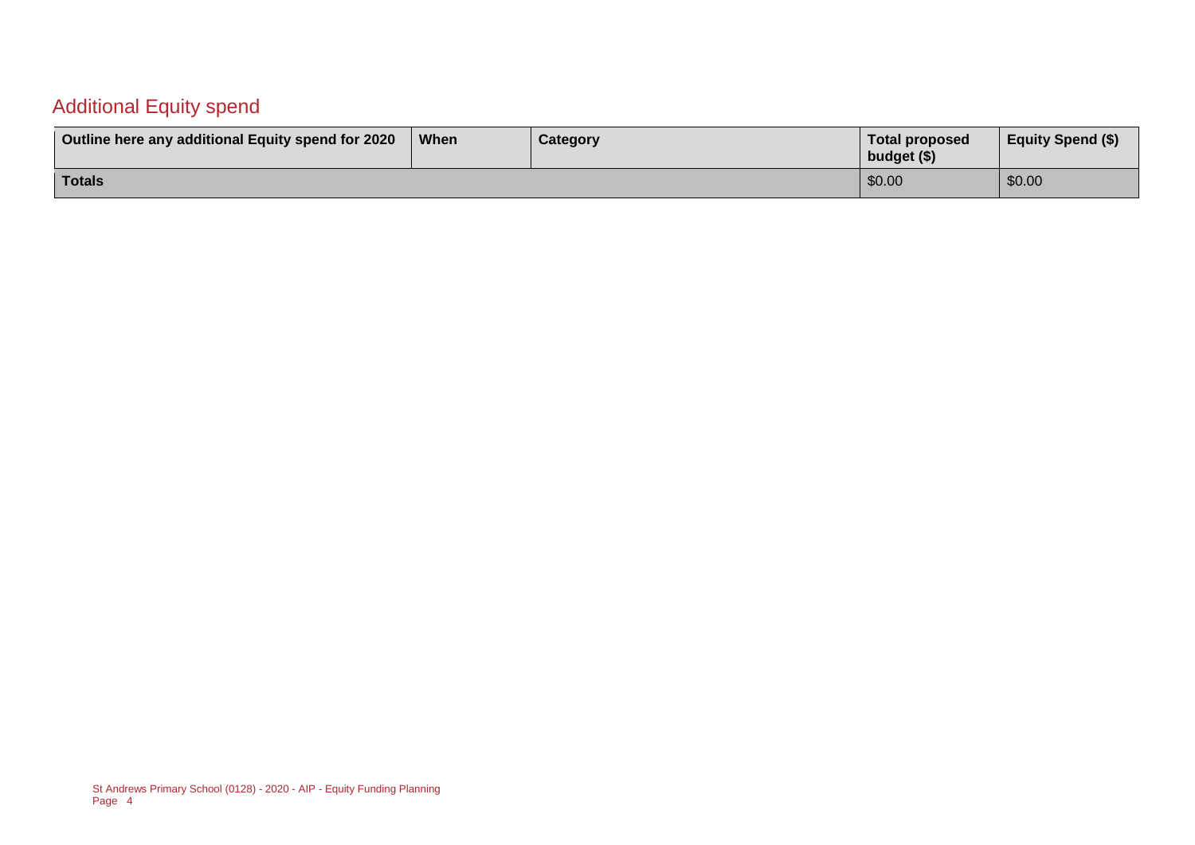#### Additional Equity spend

| Outline here any additional Equity spend for 2020 | When | Category | Total proposed<br>budget (\$) | <b>Equity Spend (\$)</b> |
|---------------------------------------------------|------|----------|-------------------------------|--------------------------|
| Totals                                            |      |          | \$0.00                        | \$0.00                   |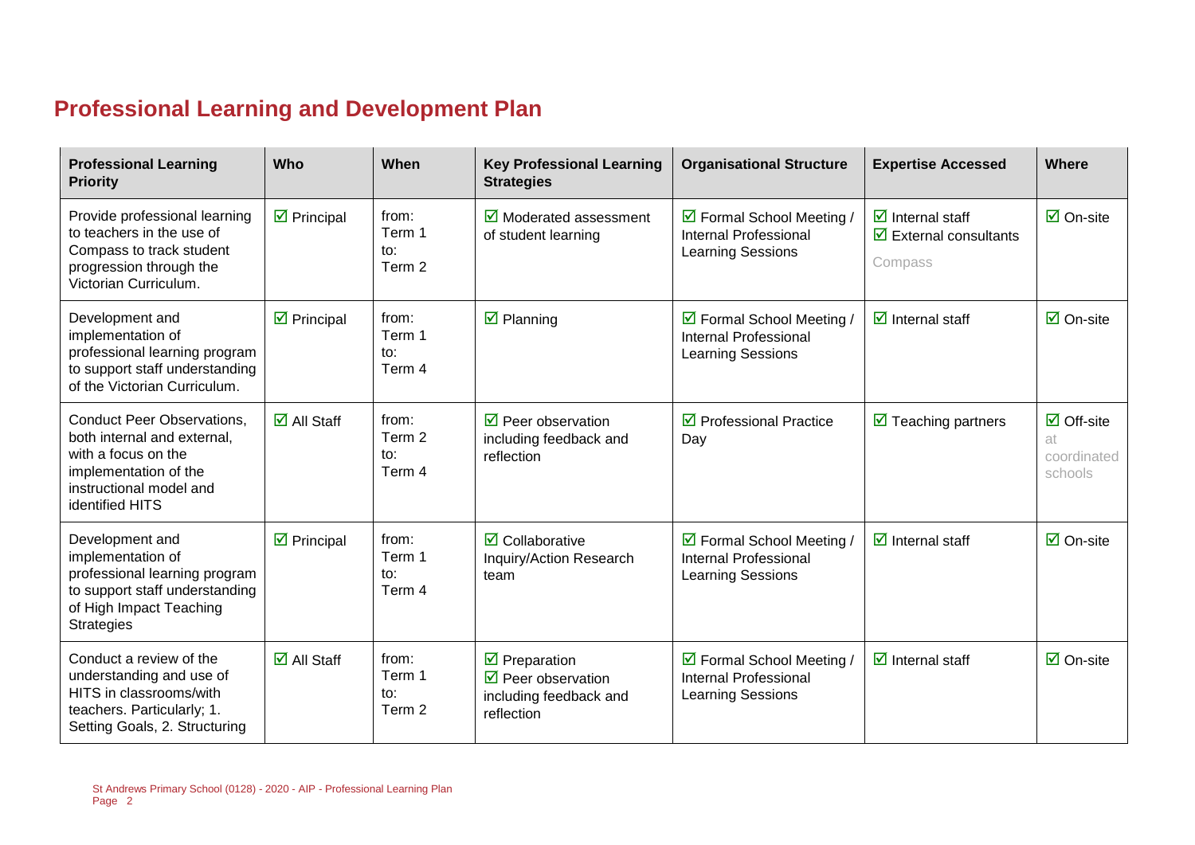# **Professional Learning and Development Plan**

| <b>Professional Learning</b><br><b>Priority</b>                                                                                                                | Who                               | When                             | <b>Key Professional Learning</b><br><b>Strategies</b>                                                    | <b>Organisational Structure</b>                                                       | <b>Expertise Accessed</b>                                                                         | Where                                              |
|----------------------------------------------------------------------------------------------------------------------------------------------------------------|-----------------------------------|----------------------------------|----------------------------------------------------------------------------------------------------------|---------------------------------------------------------------------------------------|---------------------------------------------------------------------------------------------------|----------------------------------------------------|
| Provide professional learning<br>to teachers in the use of<br>Compass to track student<br>progression through the<br>Victorian Curriculum.                     | $\triangleright$ Principal        | from:<br>Term 1<br>to:<br>Term 2 | $\overline{\mathbf{M}}$ Moderated assessment<br>of student learning                                      | ☑ Formal School Meeting /<br><b>Internal Professional</b><br><b>Learning Sessions</b> | $\overline{\mathbf{z}}$ Internal staff<br>$\overline{\mathbf{y}}$ External consultants<br>Compass | $\overline{\mathsf{M}}$ On-site                    |
| Development and<br>implementation of<br>professional learning program<br>to support staff understanding<br>of the Victorian Curriculum.                        | $\overline{\mathbf{z}}$ Principal | from:<br>Term 1<br>to:<br>Term 4 | $\boxtimes$ Planning                                                                                     | ☑ Formal School Meeting /<br>Internal Professional<br><b>Learning Sessions</b>        | $\overline{\mathbf{z}}$ Internal staff                                                            | $\overline{M}$ On-site                             |
| <b>Conduct Peer Observations,</b><br>both internal and external,<br>with a focus on the<br>implementation of the<br>instructional model and<br>identified HITS | $\overline{\Box}$ All Staff       | from:<br>Term 2<br>to:<br>Term 4 | $\triangledown$ Peer observation<br>including feedback and<br>reflection                                 | $\triangleright$ Professional Practice<br>Day                                         | $\overline{\mathbf{y}}$ Teaching partners                                                         | $\boxdot$ Off-site<br>at<br>coordinated<br>schools |
| Development and<br>implementation of<br>professional learning program<br>to support staff understanding<br>of High Impact Teaching<br><b>Strategies</b>        | $\overline{\mathbf{y}}$ Principal | from:<br>Term 1<br>to:<br>Term 4 | $\overline{\mathbf{Z}}$ Collaborative<br>Inquiry/Action Research<br>team                                 | ☑ Formal School Meeting /<br>Internal Professional<br>Learning Sessions               | $\overline{\mathbf{z}}$ Internal staff                                                            | $\overline{\mathsf{M}}$ On-site                    |
| Conduct a review of the<br>understanding and use of<br>HITS in classrooms/with<br>teachers. Particularly; 1.<br>Setting Goals, 2. Structuring                  | $\overline{\Box}$ All Staff       | from:<br>Term 1<br>to:<br>Term 2 | $\triangleright$ Preparation<br>$\triangledown$ Peer observation<br>including feedback and<br>reflection | ☑ Formal School Meeting /<br>Internal Professional<br>Learning Sessions               | $\overline{\mathbf{d}}$ Internal staff                                                            | $\overline{\Box}$ On-site                          |